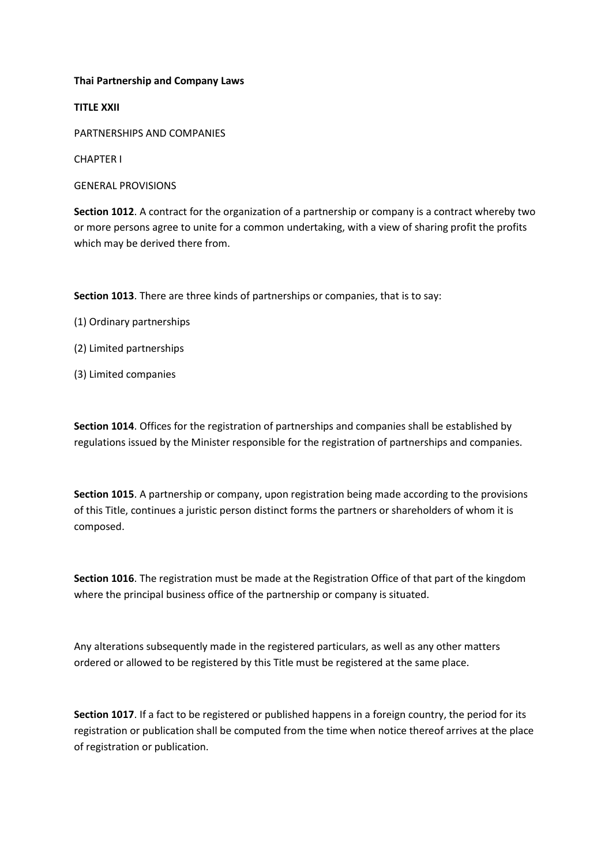## **Thai Partnership and Company Laws**

**TITLE XXII**

PARTNERSHIPS AND COMPANIES

CHAPTER I

GENERAL PROVISIONS

**Section 1012**. A contract for the organization of a partnership or company is a contract whereby two or more persons agree to unite for a common undertaking, with a view of sharing profit the profits which may be derived there from.

**Section 1013**. There are three kinds of partnerships or companies, that is to say:

- (1) Ordinary partnerships
- (2) Limited partnerships
- (3) Limited companies

**Section 1014**. Offices for the registration of partnerships and companies shall be established by regulations issued by the Minister responsible for the registration of partnerships and companies.

**Section 1015**. A partnership or company, upon registration being made according to the provisions of this Title, continues a juristic person distinct forms the partners or shareholders of whom it is composed.

**Section 1016**. The registration must be made at the Registration Office of that part of the kingdom where the principal business office of the partnership or company is situated.

Any alterations subsequently made in the registered particulars, as well as any other matters ordered or allowed to be registered by this Title must be registered at the same place.

**Section 1017**. If a fact to be registered or published happens in a foreign country, the period for its registration or publication shall be computed from the time when notice thereof arrives at the place of registration or publication.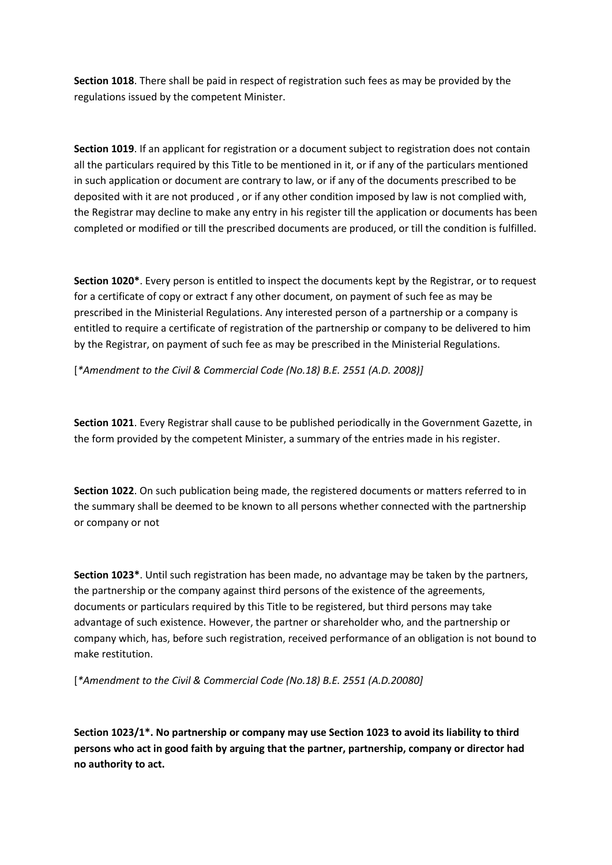**Section 1018**. There shall be paid in respect of registration such fees as may be provided by the regulations issued by the competent Minister.

**Section 1019**. If an applicant for registration or a document subject to registration does not contain all the particulars required by this Title to be mentioned in it, or if any of the particulars mentioned in such application or document are contrary to law, or if any of the documents prescribed to be deposited with it are not produced , or if any other condition imposed by law is not complied with, the Registrar may decline to make any entry in his register till the application or documents has been completed or modified or till the prescribed documents are produced, or till the condition is fulfilled.

**Section 1020\***. Every person is entitled to inspect the documents kept by the Registrar, or to request for a certificate of copy or extract f any other document, on payment of such fee as may be prescribed in the Ministerial Regulations. Any interested person of a partnership or a company is entitled to require a certificate of registration of the partnership or company to be delivered to him by the Registrar, on payment of such fee as may be prescribed in the Ministerial Regulations.

[*\*Amendment to the Civil & Commercial Code (No.18) B.E. 2551 (A.D. 2008)]*

**Section 1021**. Every Registrar shall cause to be published periodically in the Government Gazette, in the form provided by the competent Minister, a summary of the entries made in his register.

**Section 1022**. On such publication being made, the registered documents or matters referred to in the summary shall be deemed to be known to all persons whether connected with the partnership or company or not

**Section 1023\***. Until such registration has been made, no advantage may be taken by the partners, the partnership or the company against third persons of the existence of the agreements, documents or particulars required by this Title to be registered, but third persons may take advantage of such existence. However, the partner or shareholder who, and the partnership or company which, has, before such registration, received performance of an obligation is not bound to make restitution.

[*\*Amendment to the Civil & Commercial Code (No.18) B.E. 2551 (A.D.20080]*

**Section 1023/1\*. No partnership or company may use Section 1023 to avoid its liability to third persons who act in good faith by arguing that the partner, partnership, company or director had no authority to act.**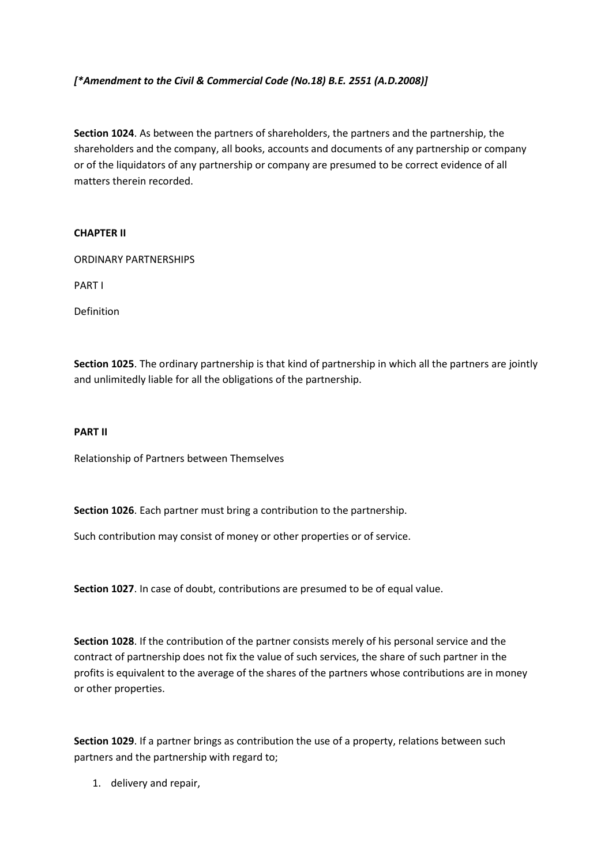# *[\*Amendment to the Civil & Commercial Code (No.18) B.E. 2551 (A.D.2008)]*

**Section 1024**. As between the partners of shareholders, the partners and the partnership, the shareholders and the company, all books, accounts and documents of any partnership or company or of the liquidators of any partnership or company are presumed to be correct evidence of all matters therein recorded.

# **CHAPTER II**

ORDINARY PARTNERSHIPS

PART I

Definition

**Section 1025**. The ordinary partnership is that kind of partnership in which all the partners are jointly and unlimitedly liable for all the obligations of the partnership.

### **PART II**

Relationship of Partners between Themselves

**Section 1026**. Each partner must bring a contribution to the partnership.

Such contribution may consist of money or other properties or of service.

**Section 1027**. In case of doubt, contributions are presumed to be of equal value.

**Section 1028**. If the contribution of the partner consists merely of his personal service and the contract of partnership does not fix the value of such services, the share of such partner in the profits is equivalent to the average of the shares of the partners whose contributions are in money or other properties.

**Section 1029**. If a partner brings as contribution the use of a property, relations between such partners and the partnership with regard to;

1. delivery and repair,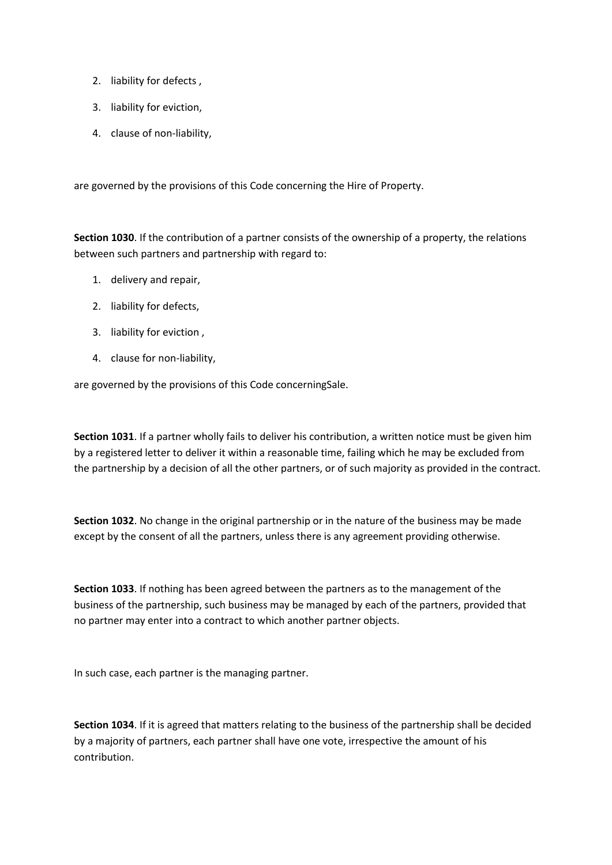- 2. liability for defects ,
- 3. liability for eviction,
- 4. clause of non-liability,

are governed by the provisions of this Code concerning the Hire of Property.

**Section 1030**. If the contribution of a partner consists of the ownership of a property, the relations between such partners and partnership with regard to:

- 1. delivery and repair,
- 2. liability for defects,
- 3. liability for eviction ,
- 4. clause for non-liability,

are governed by the provisions of this Code concerningSale.

**Section 1031**. If a partner wholly fails to deliver his contribution, a written notice must be given him by a registered letter to deliver it within a reasonable time, failing which he may be excluded from the partnership by a decision of all the other partners, or of such majority as provided in the contract.

**Section 1032**. No change in the original partnership or in the nature of the business may be made except by the consent of all the partners, unless there is any agreement providing otherwise.

**Section 1033**. If nothing has been agreed between the partners as to the management of the business of the partnership, such business may be managed by each of the partners, provided that no partner may enter into a contract to which another partner objects.

In such case, each partner is the managing partner.

**Section 1034**. If it is agreed that matters relating to the business of the partnership shall be decided by a majority of partners, each partner shall have one vote, irrespective the amount of his contribution.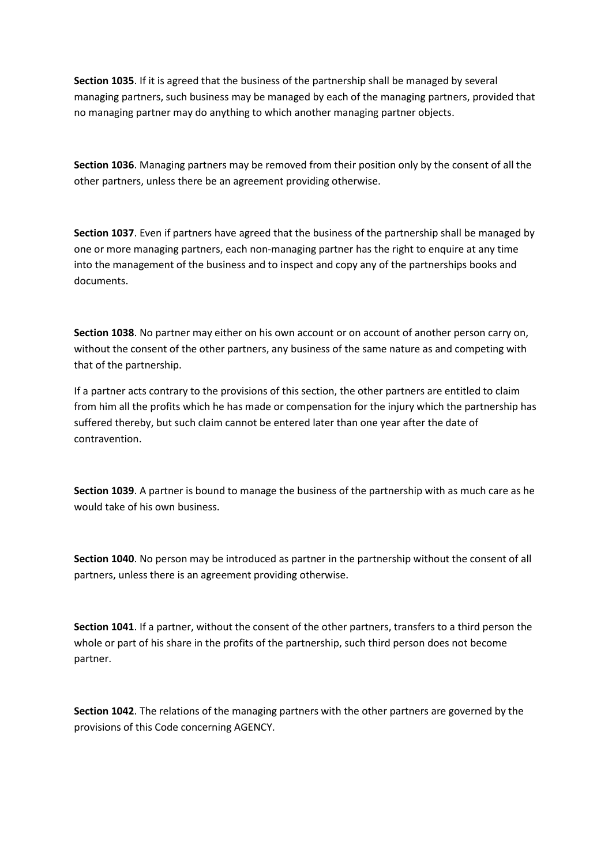**Section 1035**. If it is agreed that the business of the partnership shall be managed by several managing partners, such business may be managed by each of the managing partners, provided that no managing partner may do anything to which another managing partner objects.

**Section 1036**. Managing partners may be removed from their position only by the consent of all the other partners, unless there be an agreement providing otherwise.

**Section 1037**. Even if partners have agreed that the business of the partnership shall be managed by one or more managing partners, each non-managing partner has the right to enquire at any time into the management of the business and to inspect and copy any of the partnerships books and documents.

**Section 1038**. No partner may either on his own account or on account of another person carry on, without the consent of the other partners, any business of the same nature as and competing with that of the partnership.

If a partner acts contrary to the provisions of this section, the other partners are entitled to claim from him all the profits which he has made or compensation for the injury which the partnership has suffered thereby, but such claim cannot be entered later than one year after the date of contravention.

**Section 1039**. A partner is bound to manage the business of the partnership with as much care as he would take of his own business.

**Section 1040**. No person may be introduced as partner in the partnership without the consent of all partners, unless there is an agreement providing otherwise.

**Section 1041**. If a partner, without the consent of the other partners, transfers to a third person the whole or part of his share in the profits of the partnership, such third person does not become partner.

**Section 1042**. The relations of the managing partners with the other partners are governed by the provisions of this Code concerning AGENCY.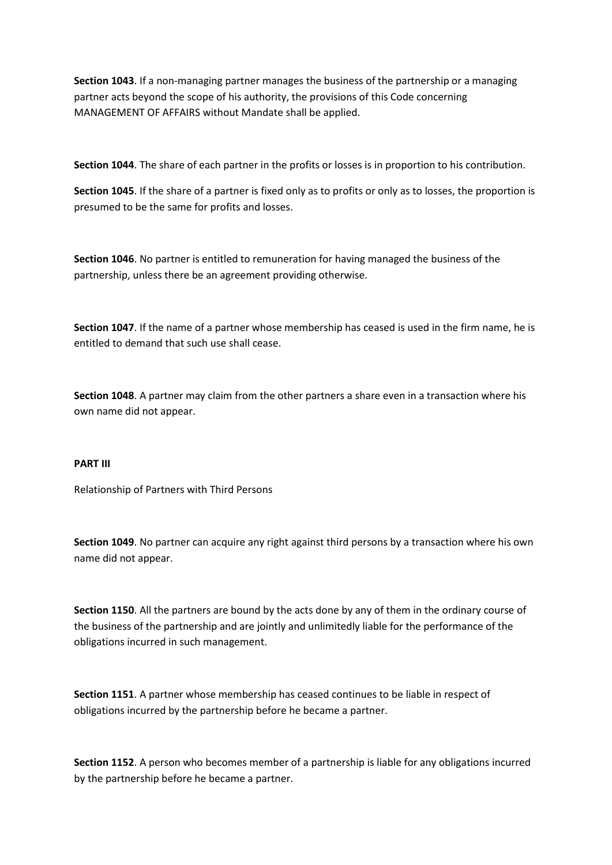**Section 1043**. If a non-managing partner manages the business of the partnership or a managing partner acts beyond the scope of his authority, the provisions of this Code concerning MANAGEMENT OF AFFAIRS without Mandate shall be applied.

**Section 1044**. The share of each partner in the profits or losses is in proportion to his contribution.

**Section 1045**. If the share of a partner is fixed only as to profits or only as to losses, the proportion is presumed to be the same for profits and losses.

**Section 1046**. No partner is entitled to remuneration for having managed the business of the partnership, unless there be an agreement providing otherwise.

**Section 1047**. If the name of a partner whose membership has ceased is used in the firm name, he is entitled to demand that such use shall cease.

**Section 1048**. A partner may claim from the other partners a share even in a transaction where his own name did not appear.

# **PART III**

Relationship of Partners with Third Persons

**Section 1049**. No partner can acquire any right against third persons by a transaction where his own name did not appear.

**Section 1150**. All the partners are bound by the acts done by any of them in the ordinary course of the business of the partnership and are jointly and unlimitedly liable for the performance of the obligations incurred in such management.

**Section 1151**. A partner whose membership has ceased continues to be liable in respect of obligations incurred by the partnership before he became a partner.

**Section 1152**. A person who becomes member of a partnership is liable for any obligations incurred by the partnership before he became a partner.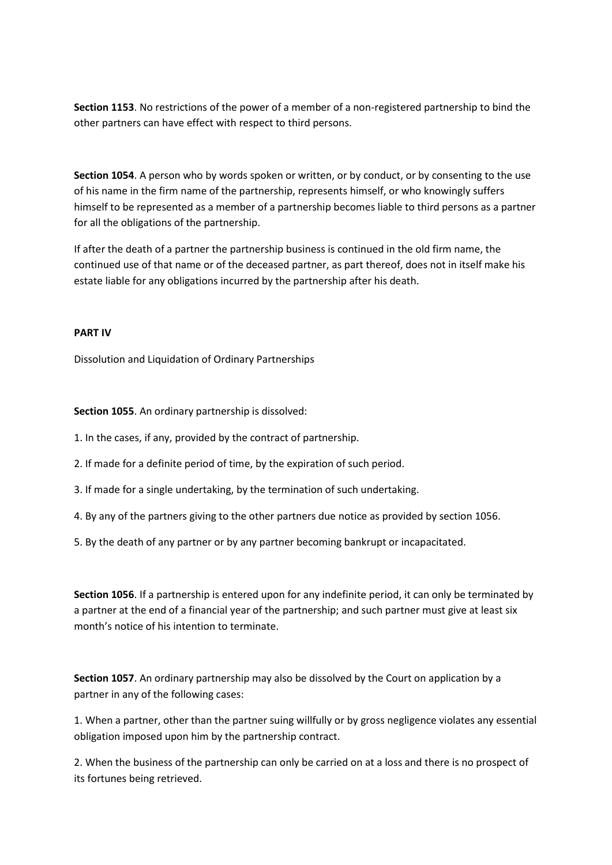**Section 1153**. No restrictions of the power of a member of a non-registered partnership to bind the other partners can have effect with respect to third persons.

**Section 1054**. A person who by words spoken or written, or by conduct, or by consenting to the use of his name in the firm name of the partnership, represents himself, or who knowingly suffers himself to be represented as a member of a partnership becomes liable to third persons as a partner for all the obligations of the partnership.

If after the death of a partner the partnership business is continued in the old firm name, the continued use of that name or of the deceased partner, as part thereof, does not in itself make his estate liable for any obligations incurred by the partnership after his death.

## **PART IV**

Dissolution and Liquidation of Ordinary Partnerships

**Section 1055**. An ordinary partnership is dissolved:

- 1. In the cases, if any, provided by the contract of partnership.
- 2. If made for a definite period of time, by the expiration of such period.
- 3. If made for a single undertaking, by the termination of such undertaking.
- 4. By any of the partners giving to the other partners due notice as provided by section 1056.
- 5. By the death of any partner or by any partner becoming bankrupt or incapacitated.

**Section 1056**. If a partnership is entered upon for any indefinite period, it can only be terminated by a partner at the end of a financial year of the partnership; and such partner must give at least six month's notice of his intention to terminate.

**Section 1057**. An ordinary partnership may also be dissolved by the Court on application by a partner in any of the following cases:

1. When a partner, other than the partner suing willfully or by gross negligence violates any essential obligation imposed upon him by the partnership contract.

2. When the business of the partnership can only be carried on at a loss and there is no prospect of its fortunes being retrieved.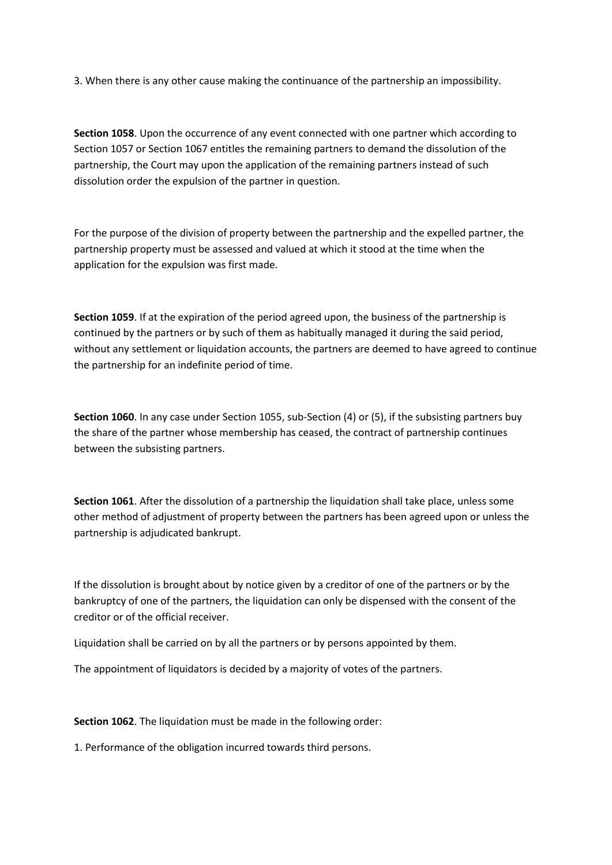3. When there is any other cause making the continuance of the partnership an impossibility.

**Section 1058**. Upon the occurrence of any event connected with one partner which according to Section 1057 or Section 1067 entitles the remaining partners to demand the dissolution of the partnership, the Court may upon the application of the remaining partners instead of such dissolution order the expulsion of the partner in question.

For the purpose of the division of property between the partnership and the expelled partner, the partnership property must be assessed and valued at which it stood at the time when the application for the expulsion was first made.

**Section 1059**. If at the expiration of the period agreed upon, the business of the partnership is continued by the partners or by such of them as habitually managed it during the said period, without any settlement or liquidation accounts, the partners are deemed to have agreed to continue the partnership for an indefinite period of time.

**Section 1060**. In any case under Section 1055, sub-Section (4) or (5), if the subsisting partners buy the share of the partner whose membership has ceased, the contract of partnership continues between the subsisting partners.

**Section 1061**. After the dissolution of a partnership the liquidation shall take place, unless some other method of adjustment of property between the partners has been agreed upon or unless the partnership is adjudicated bankrupt.

If the dissolution is brought about by notice given by a creditor of one of the partners or by the bankruptcy of one of the partners, the liquidation can only be dispensed with the consent of the creditor or of the official receiver.

Liquidation shall be carried on by all the partners or by persons appointed by them.

The appointment of liquidators is decided by a majority of votes of the partners.

**Section 1062**. The liquidation must be made in the following order:

1. Performance of the obligation incurred towards third persons.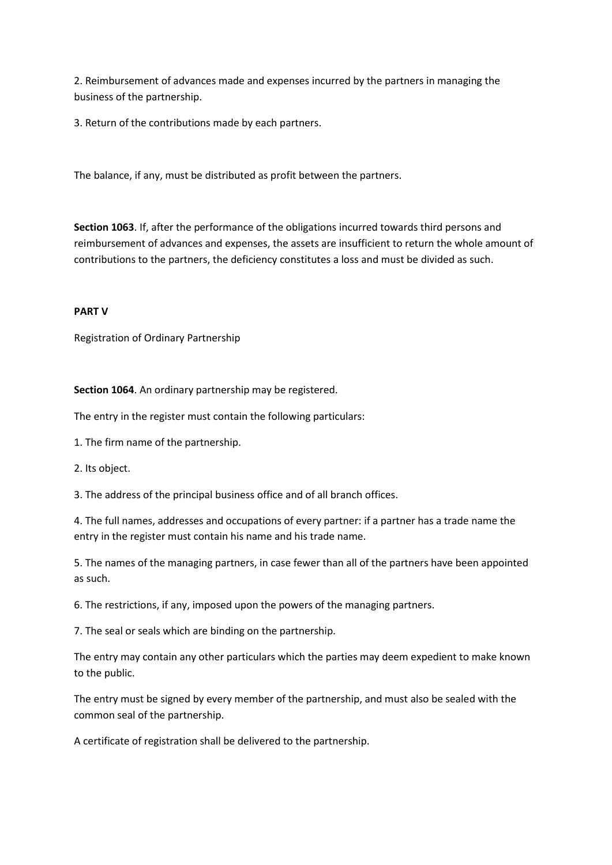2. Reimbursement of advances made and expenses incurred by the partners in managing the business of the partnership.

3. Return of the contributions made by each partners.

The balance, if any, must be distributed as profit between the partners.

**Section 1063**. If, after the performance of the obligations incurred towards third persons and reimbursement of advances and expenses, the assets are insufficient to return the whole amount of contributions to the partners, the deficiency constitutes a loss and must be divided as such.

## **PART V**

Registration of Ordinary Partnership

**Section 1064**. An ordinary partnership may be registered.

The entry in the register must contain the following particulars:

- 1. The firm name of the partnership.
- 2. Its object.

3. The address of the principal business office and of all branch offices.

4. The full names, addresses and occupations of every partner: if a partner has a trade name the entry in the register must contain his name and his trade name.

5. The names of the managing partners, in case fewer than all of the partners have been appointed as such.

6. The restrictions, if any, imposed upon the powers of the managing partners.

7. The seal or seals which are binding on the partnership.

The entry may contain any other particulars which the parties may deem expedient to make known to the public.

The entry must be signed by every member of the partnership, and must also be sealed with the common seal of the partnership.

A certificate of registration shall be delivered to the partnership.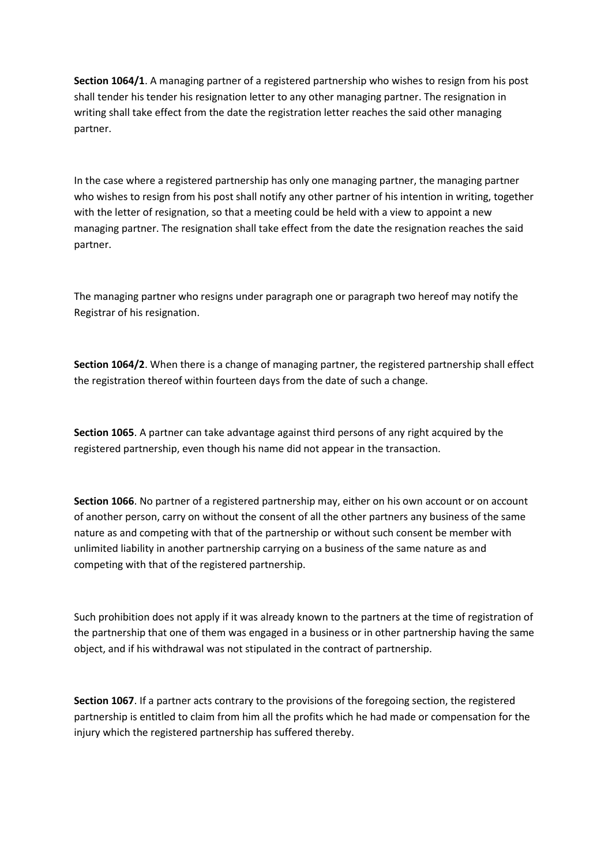**Section 1064/1**. A managing partner of a registered partnership who wishes to resign from his post shall tender his tender his resignation letter to any other managing partner. The resignation in writing shall take effect from the date the registration letter reaches the said other managing partner.

In the case where a registered partnership has only one managing partner, the managing partner who wishes to resign from his post shall notify any other partner of his intention in writing, together with the letter of resignation, so that a meeting could be held with a view to appoint a new managing partner. The resignation shall take effect from the date the resignation reaches the said partner.

The managing partner who resigns under paragraph one or paragraph two hereof may notify the Registrar of his resignation.

**Section 1064/2**. When there is a change of managing partner, the registered partnership shall effect the registration thereof within fourteen days from the date of such a change.

**Section 1065**. A partner can take advantage against third persons of any right acquired by the registered partnership, even though his name did not appear in the transaction.

**Section 1066**. No partner of a registered partnership may, either on his own account or on account of another person, carry on without the consent of all the other partners any business of the same nature as and competing with that of the partnership or without such consent be member with unlimited liability in another partnership carrying on a business of the same nature as and competing with that of the registered partnership.

Such prohibition does not apply if it was already known to the partners at the time of registration of the partnership that one of them was engaged in a business or in other partnership having the same object, and if his withdrawal was not stipulated in the contract of partnership.

**Section 1067**. If a partner acts contrary to the provisions of the foregoing section, the registered partnership is entitled to claim from him all the profits which he had made or compensation for the injury which the registered partnership has suffered thereby.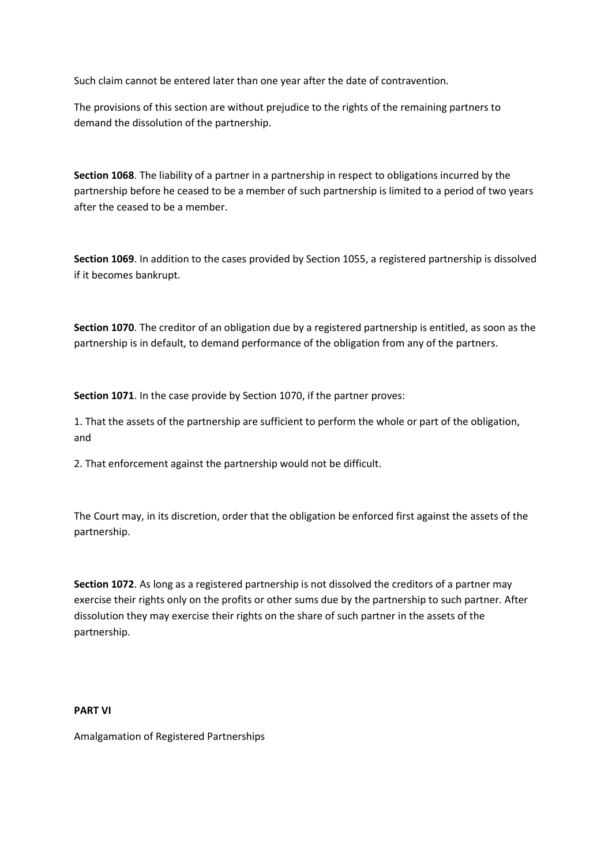Such claim cannot be entered later than one year after the date of contravention.

The provisions of this section are without prejudice to the rights of the remaining partners to demand the dissolution of the partnership.

**Section 1068**. The liability of a partner in a partnership in respect to obligations incurred by the partnership before he ceased to be a member of such partnership is limited to a period of two years after the ceased to be a member.

**Section 1069**. In addition to the cases provided by Section 1055, a registered partnership is dissolved if it becomes bankrupt.

**Section 1070**. The creditor of an obligation due by a registered partnership is entitled, as soon as the partnership is in default, to demand performance of the obligation from any of the partners.

**Section 1071**. In the case provide by Section 1070, if the partner proves:

1. That the assets of the partnership are sufficient to perform the whole or part of the obligation, and

2. That enforcement against the partnership would not be difficult.

The Court may, in its discretion, order that the obligation be enforced first against the assets of the partnership.

**Section 1072**. As long as a registered partnership is not dissolved the creditors of a partner may exercise their rights only on the profits or other sums due by the partnership to such partner. After dissolution they may exercise their rights on the share of such partner in the assets of the partnership.

# **PART VI**

Amalgamation of Registered Partnerships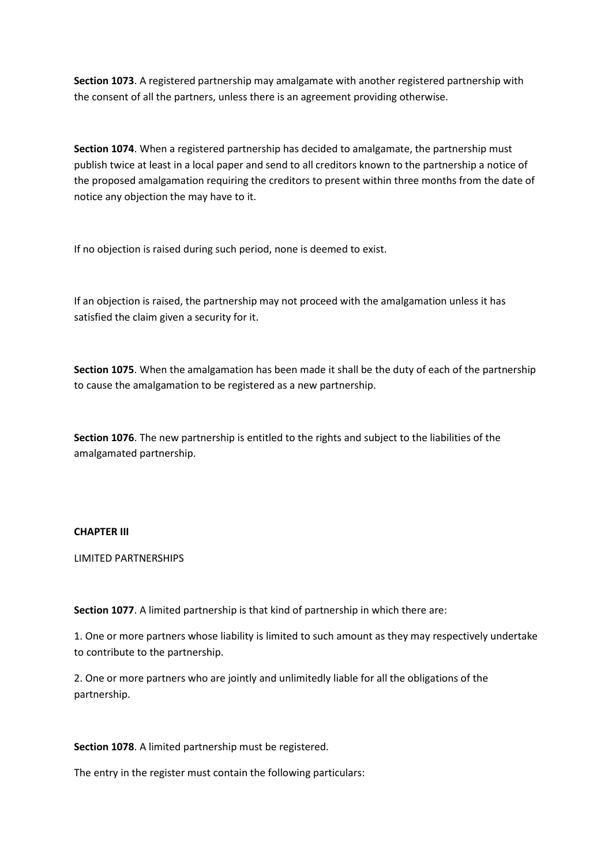**Section 1073**. A registered partnership may amalgamate with another registered partnership with the consent of all the partners, unless there is an agreement providing otherwise.

**Section 1074**. When a registered partnership has decided to amalgamate, the partnership must publish twice at least in a local paper and send to all creditors known to the partnership a notice of the proposed amalgamation requiring the creditors to present within three months from the date of notice any objection the may have to it.

If no objection is raised during such period, none is deemed to exist.

If an objection is raised, the partnership may not proceed with the amalgamation unless it has satisfied the claim given a security for it.

**Section 1075**. When the amalgamation has been made it shall be the duty of each of the partnership to cause the amalgamation to be registered as a new partnership.

**Section 1076**. The new partnership is entitled to the rights and subject to the liabilities of the amalgamated partnership.

# **CHAPTER III**

LIMITED PARTNERSHIPS

**Section 1077**. A limited partnership is that kind of partnership in which there are:

1. One or more partners whose liability is limited to such amount as they may respectively undertake to contribute to the partnership.

2. One or more partners who are jointly and unlimitedly liable for all the obligations of the partnership.

# **Section 1078**. A limited partnership must be registered.

The entry in the register must contain the following particulars: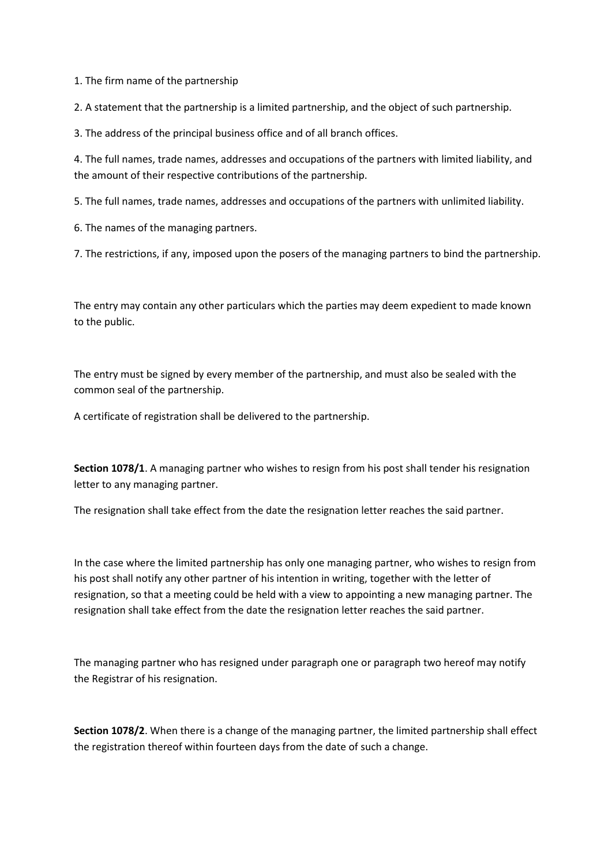1. The firm name of the partnership

2. A statement that the partnership is a limited partnership, and the object of such partnership.

3. The address of the principal business office and of all branch offices.

4. The full names, trade names, addresses and occupations of the partners with limited liability, and the amount of their respective contributions of the partnership.

5. The full names, trade names, addresses and occupations of the partners with unlimited liability.

6. The names of the managing partners.

7. The restrictions, if any, imposed upon the posers of the managing partners to bind the partnership.

The entry may contain any other particulars which the parties may deem expedient to made known to the public.

The entry must be signed by every member of the partnership, and must also be sealed with the common seal of the partnership.

A certificate of registration shall be delivered to the partnership.

**Section 1078/1**. A managing partner who wishes to resign from his post shall tender his resignation letter to any managing partner.

The resignation shall take effect from the date the resignation letter reaches the said partner.

In the case where the limited partnership has only one managing partner, who wishes to resign from his post shall notify any other partner of his intention in writing, together with the letter of resignation, so that a meeting could be held with a view to appointing a new managing partner. The resignation shall take effect from the date the resignation letter reaches the said partner.

The managing partner who has resigned under paragraph one or paragraph two hereof may notify the Registrar of his resignation.

**Section 1078/2**. When there is a change of the managing partner, the limited partnership shall effect the registration thereof within fourteen days from the date of such a change.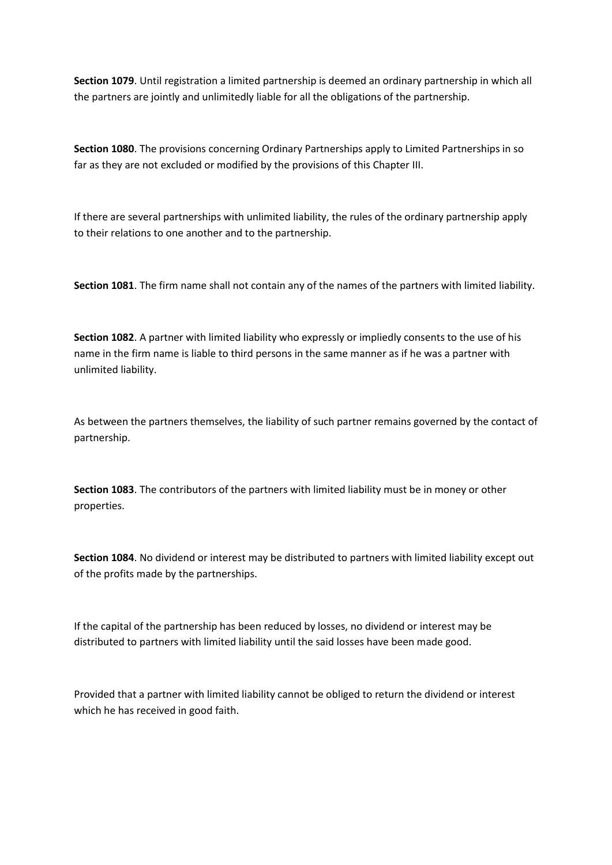**Section 1079**. Until registration a limited partnership is deemed an ordinary partnership in which all the partners are jointly and unlimitedly liable for all the obligations of the partnership.

**Section 1080**. The provisions concerning Ordinary Partnerships apply to Limited Partnerships in so far as they are not excluded or modified by the provisions of this Chapter III.

If there are several partnerships with unlimited liability, the rules of the ordinary partnership apply to their relations to one another and to the partnership.

**Section 1081**. The firm name shall not contain any of the names of the partners with limited liability.

**Section 1082**. A partner with limited liability who expressly or impliedly consents to the use of his name in the firm name is liable to third persons in the same manner as if he was a partner with unlimited liability.

As between the partners themselves, the liability of such partner remains governed by the contact of partnership.

**Section 1083**. The contributors of the partners with limited liability must be in money or other properties.

**Section 1084**. No dividend or interest may be distributed to partners with limited liability except out of the profits made by the partnerships.

If the capital of the partnership has been reduced by losses, no dividend or interest may be distributed to partners with limited liability until the said losses have been made good.

Provided that a partner with limited liability cannot be obliged to return the dividend or interest which he has received in good faith.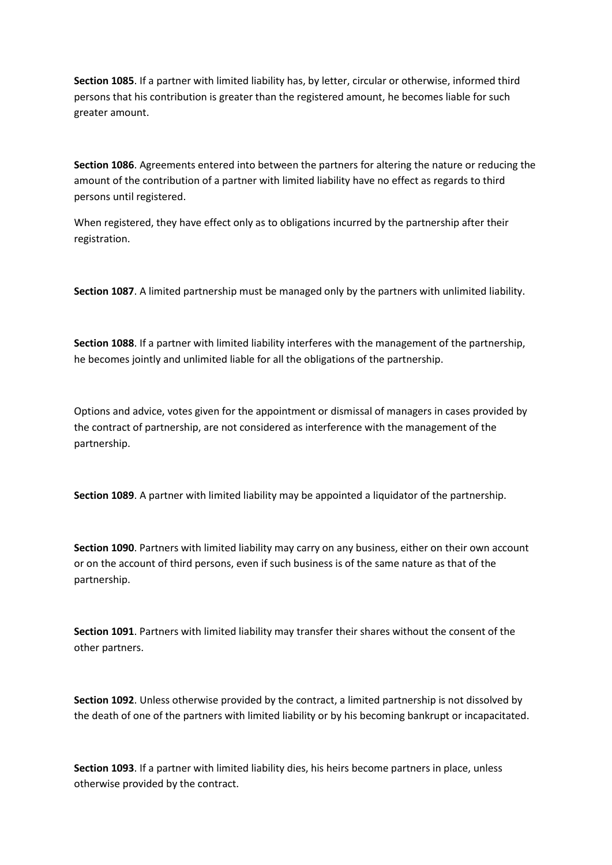**Section 1085**. If a partner with limited liability has, by letter, circular or otherwise, informed third persons that his contribution is greater than the registered amount, he becomes liable for such greater amount.

**Section 1086**. Agreements entered into between the partners for altering the nature or reducing the amount of the contribution of a partner with limited liability have no effect as regards to third persons until registered.

When registered, they have effect only as to obligations incurred by the partnership after their registration.

**Section 1087**. A limited partnership must be managed only by the partners with unlimited liability.

**Section 1088**. If a partner with limited liability interferes with the management of the partnership, he becomes jointly and unlimited liable for all the obligations of the partnership.

Options and advice, votes given for the appointment or dismissal of managers in cases provided by the contract of partnership, are not considered as interference with the management of the partnership.

**Section 1089**. A partner with limited liability may be appointed a liquidator of the partnership.

**Section 1090**. Partners with limited liability may carry on any business, either on their own account or on the account of third persons, even if such business is of the same nature as that of the partnership.

**Section 1091**. Partners with limited liability may transfer their shares without the consent of the other partners.

**Section 1092**. Unless otherwise provided by the contract, a limited partnership is not dissolved by the death of one of the partners with limited liability or by his becoming bankrupt or incapacitated.

**Section 1093**. If a partner with limited liability dies, his heirs become partners in place, unless otherwise provided by the contract.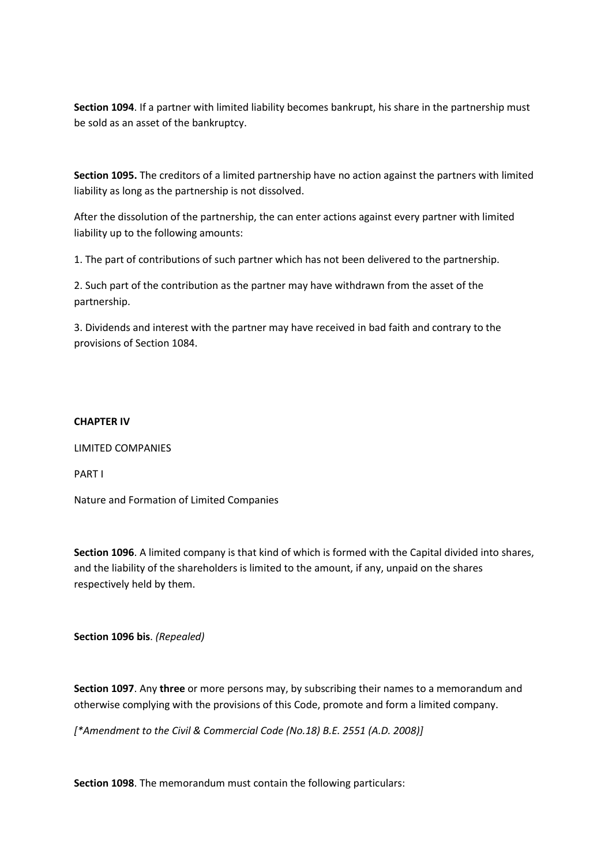**Section 1094**. If a partner with limited liability becomes bankrupt, his share in the partnership must be sold as an asset of the bankruptcy.

**Section 1095.** The creditors of a limited partnership have no action against the partners with limited liability as long as the partnership is not dissolved.

After the dissolution of the partnership, the can enter actions against every partner with limited liability up to the following amounts:

1. The part of contributions of such partner which has not been delivered to the partnership.

2. Such part of the contribution as the partner may have withdrawn from the asset of the partnership.

3. Dividends and interest with the partner may have received in bad faith and contrary to the provisions of Section 1084.

# **CHAPTER IV**

LIMITED COMPANIES

PART I

Nature and Formation of Limited Companies

**Section 1096**. A limited company is that kind of which is formed with the Capital divided into shares, and the liability of the shareholders is limited to the amount, if any, unpaid on the shares respectively held by them.

**Section 1096 bis**. *(Repealed)*

**Section 1097**. Any **three** or more persons may, by subscribing their names to a memorandum and otherwise complying with the provisions of this Code, promote and form a limited company.

*[\*Amendment to the Civil & Commercial Code (No.18) B.E. 2551 (A.D. 2008)]*

**Section 1098**. The memorandum must contain the following particulars: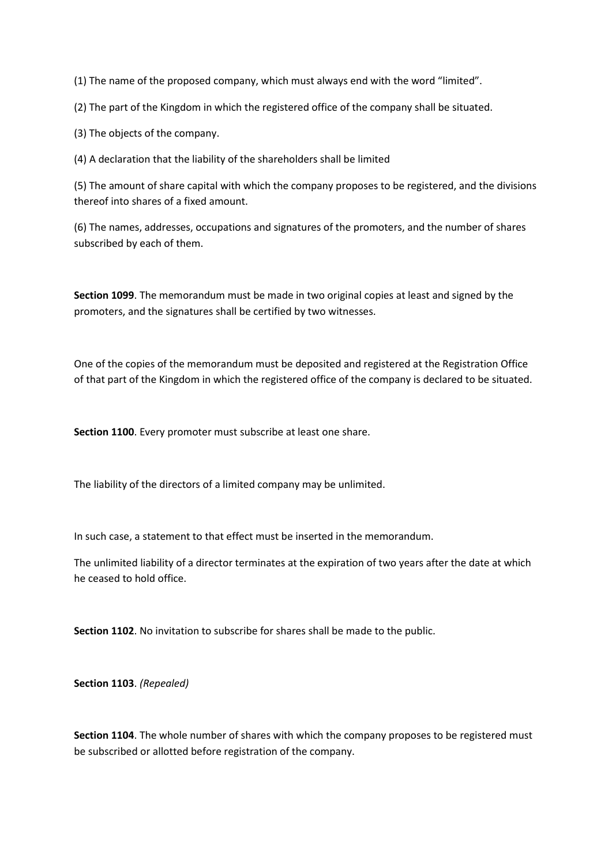(1) The name of the proposed company, which must always end with the word "limited".

(2) The part of the Kingdom in which the registered office of the company shall be situated.

(3) The objects of the company.

(4) A declaration that the liability of the shareholders shall be limited

(5) The amount of share capital with which the company proposes to be registered, and the divisions thereof into shares of a fixed amount.

(6) The names, addresses, occupations and signatures of the promoters, and the number of shares subscribed by each of them.

**Section 1099**. The memorandum must be made in two original copies at least and signed by the promoters, and the signatures shall be certified by two witnesses.

One of the copies of the memorandum must be deposited and registered at the Registration Office of that part of the Kingdom in which the registered office of the company is declared to be situated.

**Section 1100**. Every promoter must subscribe at least one share.

The liability of the directors of a limited company may be unlimited.

In such case, a statement to that effect must be inserted in the memorandum.

The unlimited liability of a director terminates at the expiration of two years after the date at which he ceased to hold office.

**Section 1102**. No invitation to subscribe for shares shall be made to the public.

**Section 1103**. *(Repealed)*

**Section 1104**. The whole number of shares with which the company proposes to be registered must be subscribed or allotted before registration of the company.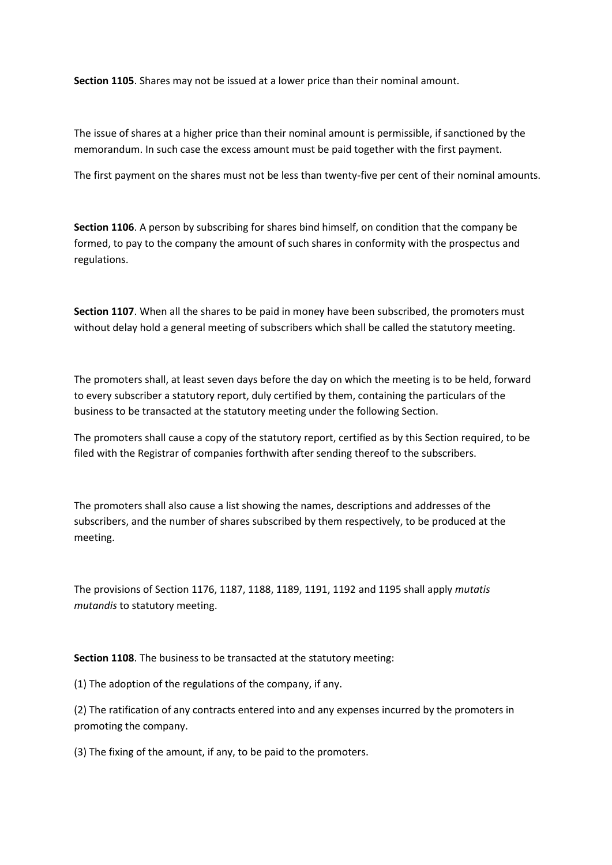**Section 1105**. Shares may not be issued at a lower price than their nominal amount.

The issue of shares at a higher price than their nominal amount is permissible, if sanctioned by the memorandum. In such case the excess amount must be paid together with the first payment.

The first payment on the shares must not be less than twenty-five per cent of their nominal amounts.

**Section 1106**. A person by subscribing for shares bind himself, on condition that the company be formed, to pay to the company the amount of such shares in conformity with the prospectus and regulations.

**Section 1107**. When all the shares to be paid in money have been subscribed, the promoters must without delay hold a general meeting of subscribers which shall be called the statutory meeting.

The promoters shall, at least seven days before the day on which the meeting is to be held, forward to every subscriber a statutory report, duly certified by them, containing the particulars of the business to be transacted at the statutory meeting under the following Section.

The promoters shall cause a copy of the statutory report, certified as by this Section required, to be filed with the Registrar of companies forthwith after sending thereof to the subscribers.

The promoters shall also cause a list showing the names, descriptions and addresses of the subscribers, and the number of shares subscribed by them respectively, to be produced at the meeting.

The provisions of Section 1176, 1187, 1188, 1189, 1191, 1192 and 1195 shall apply *mutatis mutandis* to statutory meeting.

**Section 1108**. The business to be transacted at the statutory meeting:

(1) The adoption of the regulations of the company, if any.

(2) The ratification of any contracts entered into and any expenses incurred by the promoters in promoting the company.

(3) The fixing of the amount, if any, to be paid to the promoters.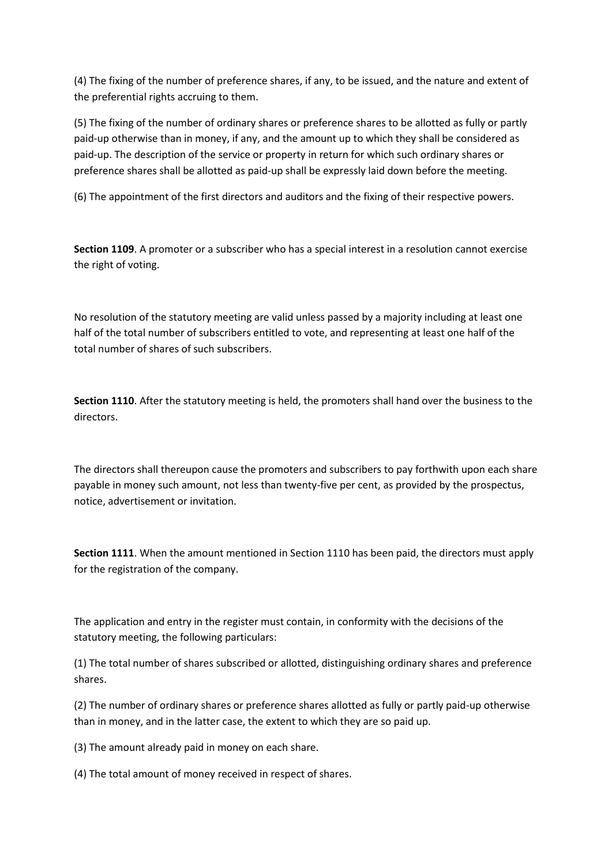(4) The fixing of the number of preference shares, if any, to be issued, and the nature and extent of the preferential rights accruing to them.

(5) The fixing of the number of ordinary shares or preference shares to be allotted as fully or partly paid-up otherwise than in money, if any, and the amount up to which they shall be considered as paid-up. The description of the service or property in return for which such ordinary shares or preference shares shall be allotted as paid-up shall be expressly laid down before the meeting.

(6) The appointment of the first directors and auditors and the fixing of their respective powers.

**Section 1109**. A promoter or a subscriber who has a special interest in a resolution cannot exercise the right of voting.

No resolution of the statutory meeting are valid unless passed by a majority including at least one half of the total number of subscribers entitled to vote, and representing at least one half of the total number of shares of such subscribers.

**Section 1110**. After the statutory meeting is held, the promoters shall hand over the business to the directors.

The directors shall thereupon cause the promoters and subscribers to pay forthwith upon each share payable in money such amount, not less than twenty-five per cent, as provided by the prospectus, notice, advertisement or invitation.

**Section 1111**. When the amount mentioned in Section 1110 has been paid, the directors must apply for the registration of the company.

The application and entry in the register must contain, in conformity with the decisions of the statutory meeting, the following particulars:

(1) The total number of shares subscribed or allotted, distinguishing ordinary shares and preference shares.

(2) The number of ordinary shares or preference shares allotted as fully or partly paid-up otherwise than in money, and in the latter case, the extent to which they are so paid up.

(3) The amount already paid in money on each share.

(4) The total amount of money received in respect of shares.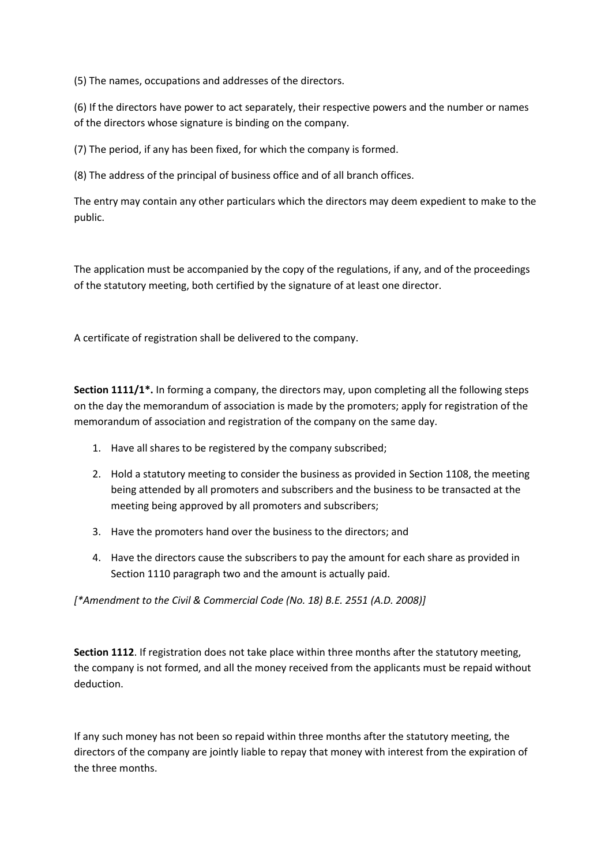(5) The names, occupations and addresses of the directors.

(6) If the directors have power to act separately, their respective powers and the number or names of the directors whose signature is binding on the company.

(7) The period, if any has been fixed, for which the company is formed.

(8) The address of the principal of business office and of all branch offices.

The entry may contain any other particulars which the directors may deem expedient to make to the public.

The application must be accompanied by the copy of the regulations, if any, and of the proceedings of the statutory meeting, both certified by the signature of at least one director.

A certificate of registration shall be delivered to the company.

**Section 1111/1\*.** In forming a company, the directors may, upon completing all the following steps on the day the memorandum of association is made by the promoters; apply for registration of the memorandum of association and registration of the company on the same day.

- 1. Have all shares to be registered by the company subscribed;
- 2. Hold a statutory meeting to consider the business as provided in Section 1108, the meeting being attended by all promoters and subscribers and the business to be transacted at the meeting being approved by all promoters and subscribers;
- 3. Have the promoters hand over the business to the directors; and
- 4. Have the directors cause the subscribers to pay the amount for each share as provided in Section 1110 paragraph two and the amount is actually paid.

*[\*Amendment to the Civil & Commercial Code (No. 18) B.E. 2551 (A.D. 2008)]*

**Section 1112**. If registration does not take place within three months after the statutory meeting, the company is not formed, and all the money received from the applicants must be repaid without deduction.

If any such money has not been so repaid within three months after the statutory meeting, the directors of the company are jointly liable to repay that money with interest from the expiration of the three months.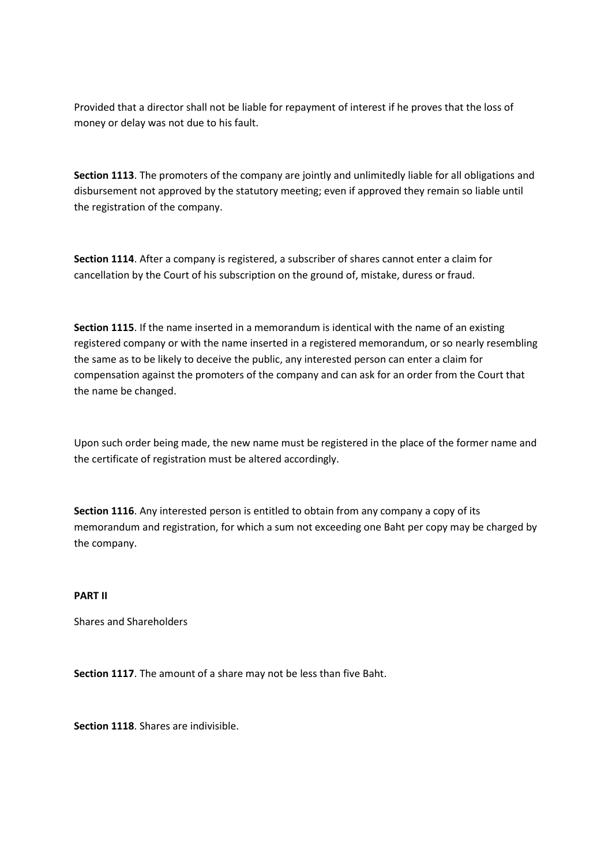Provided that a director shall not be liable for repayment of interest if he proves that the loss of money or delay was not due to his fault.

**Section 1113**. The promoters of the company are jointly and unlimitedly liable for all obligations and disbursement not approved by the statutory meeting; even if approved they remain so liable until the registration of the company.

**Section 1114**. After a company is registered, a subscriber of shares cannot enter a claim for cancellation by the Court of his subscription on the ground of, mistake, duress or fraud.

**Section 1115**. If the name inserted in a memorandum is identical with the name of an existing registered company or with the name inserted in a registered memorandum, or so nearly resembling the same as to be likely to deceive the public, any interested person can enter a claim for compensation against the promoters of the company and can ask for an order from the Court that the name be changed.

Upon such order being made, the new name must be registered in the place of the former name and the certificate of registration must be altered accordingly.

**Section 1116**. Any interested person is entitled to obtain from any company a copy of its memorandum and registration, for which a sum not exceeding one Baht per copy may be charged by the company.

# **PART II**

Shares and Shareholders

**Section 1117**. The amount of a share may not be less than five Baht.

**Section 1118**. Shares are indivisible.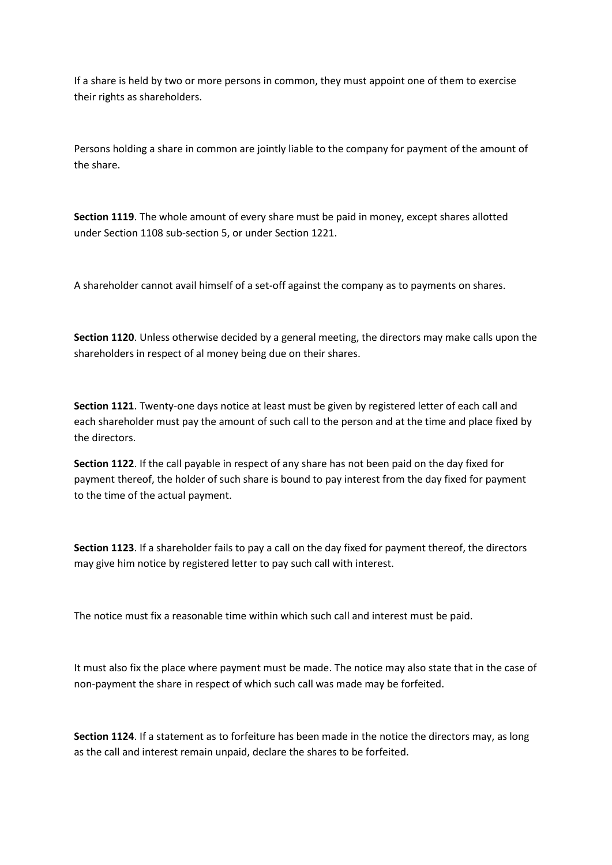If a share is held by two or more persons in common, they must appoint one of them to exercise their rights as shareholders.

Persons holding a share in common are jointly liable to the company for payment of the amount of the share.

**Section 1119**. The whole amount of every share must be paid in money, except shares allotted under Section 1108 sub-section 5, or under Section 1221.

A shareholder cannot avail himself of a set-off against the company as to payments on shares.

**Section 1120**. Unless otherwise decided by a general meeting, the directors may make calls upon the shareholders in respect of al money being due on their shares.

**Section 1121**. Twenty-one days notice at least must be given by registered letter of each call and each shareholder must pay the amount of such call to the person and at the time and place fixed by the directors.

**Section 1122**. If the call payable in respect of any share has not been paid on the day fixed for payment thereof, the holder of such share is bound to pay interest from the day fixed for payment to the time of the actual payment.

**Section 1123**. If a shareholder fails to pay a call on the day fixed for payment thereof, the directors may give him notice by registered letter to pay such call with interest.

The notice must fix a reasonable time within which such call and interest must be paid.

It must also fix the place where payment must be made. The notice may also state that in the case of non-payment the share in respect of which such call was made may be forfeited.

**Section 1124**. If a statement as to forfeiture has been made in the notice the directors may, as long as the call and interest remain unpaid, declare the shares to be forfeited.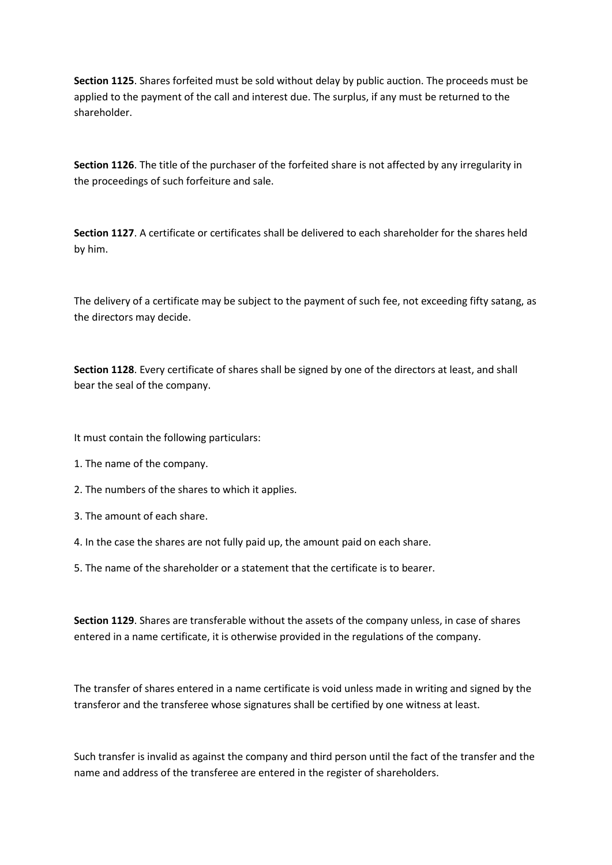**Section 1125**. Shares forfeited must be sold without delay by public auction. The proceeds must be applied to the payment of the call and interest due. The surplus, if any must be returned to the shareholder.

**Section 1126**. The title of the purchaser of the forfeited share is not affected by any irregularity in the proceedings of such forfeiture and sale.

**Section 1127**. A certificate or certificates shall be delivered to each shareholder for the shares held by him.

The delivery of a certificate may be subject to the payment of such fee, not exceeding fifty satang, as the directors may decide.

**Section 1128**. Every certificate of shares shall be signed by one of the directors at least, and shall bear the seal of the company.

It must contain the following particulars:

- 1. The name of the company.
- 2. The numbers of the shares to which it applies.
- 3. The amount of each share.
- 4. In the case the shares are not fully paid up, the amount paid on each share.
- 5. The name of the shareholder or a statement that the certificate is to bearer.

**Section 1129**. Shares are transferable without the assets of the company unless, in case of shares entered in a name certificate, it is otherwise provided in the regulations of the company.

The transfer of shares entered in a name certificate is void unless made in writing and signed by the transferor and the transferee whose signatures shall be certified by one witness at least.

Such transfer is invalid as against the company and third person until the fact of the transfer and the name and address of the transferee are entered in the register of shareholders.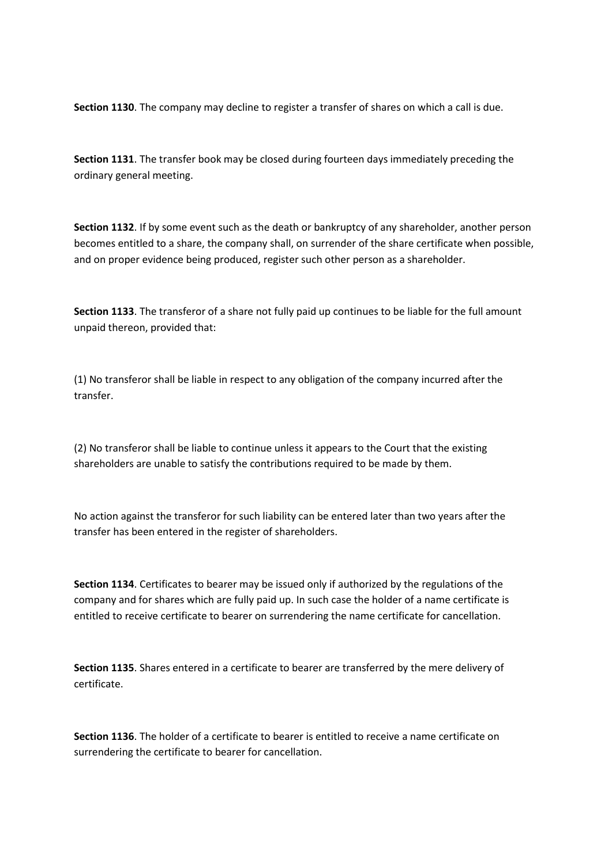**Section 1130**. The company may decline to register a transfer of shares on which a call is due.

**Section 1131**. The transfer book may be closed during fourteen days immediately preceding the ordinary general meeting.

**Section 1132**. If by some event such as the death or bankruptcy of any shareholder, another person becomes entitled to a share, the company shall, on surrender of the share certificate when possible, and on proper evidence being produced, register such other person as a shareholder.

**Section 1133**. The transferor of a share not fully paid up continues to be liable for the full amount unpaid thereon, provided that:

(1) No transferor shall be liable in respect to any obligation of the company incurred after the transfer.

(2) No transferor shall be liable to continue unless it appears to the Court that the existing shareholders are unable to satisfy the contributions required to be made by them.

No action against the transferor for such liability can be entered later than two years after the transfer has been entered in the register of shareholders.

**Section 1134**. Certificates to bearer may be issued only if authorized by the regulations of the company and for shares which are fully paid up. In such case the holder of a name certificate is entitled to receive certificate to bearer on surrendering the name certificate for cancellation.

**Section 1135**. Shares entered in a certificate to bearer are transferred by the mere delivery of certificate.

**Section 1136**. The holder of a certificate to bearer is entitled to receive a name certificate on surrendering the certificate to bearer for cancellation.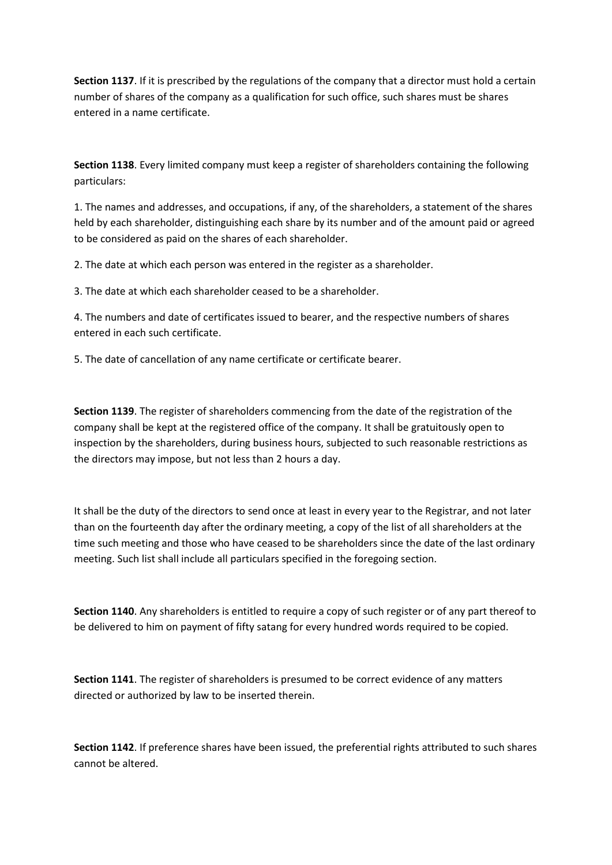**Section 1137**. If it is prescribed by the regulations of the company that a director must hold a certain number of shares of the company as a qualification for such office, such shares must be shares entered in a name certificate.

**Section 1138**. Every limited company must keep a register of shareholders containing the following particulars:

1. The names and addresses, and occupations, if any, of the shareholders, a statement of the shares held by each shareholder, distinguishing each share by its number and of the amount paid or agreed to be considered as paid on the shares of each shareholder.

2. The date at which each person was entered in the register as a shareholder.

3. The date at which each shareholder ceased to be a shareholder.

4. The numbers and date of certificates issued to bearer, and the respective numbers of shares entered in each such certificate.

5. The date of cancellation of any name certificate or certificate bearer.

**Section 1139**. The register of shareholders commencing from the date of the registration of the company shall be kept at the registered office of the company. It shall be gratuitously open to inspection by the shareholders, during business hours, subjected to such reasonable restrictions as the directors may impose, but not less than 2 hours a day.

It shall be the duty of the directors to send once at least in every year to the Registrar, and not later than on the fourteenth day after the ordinary meeting, a copy of the list of all shareholders at the time such meeting and those who have ceased to be shareholders since the date of the last ordinary meeting. Such list shall include all particulars specified in the foregoing section.

**Section 1140**. Any shareholders is entitled to require a copy of such register or of any part thereof to be delivered to him on payment of fifty satang for every hundred words required to be copied.

**Section 1141**. The register of shareholders is presumed to be correct evidence of any matters directed or authorized by law to be inserted therein.

**Section 1142**. If preference shares have been issued, the preferential rights attributed to such shares cannot be altered.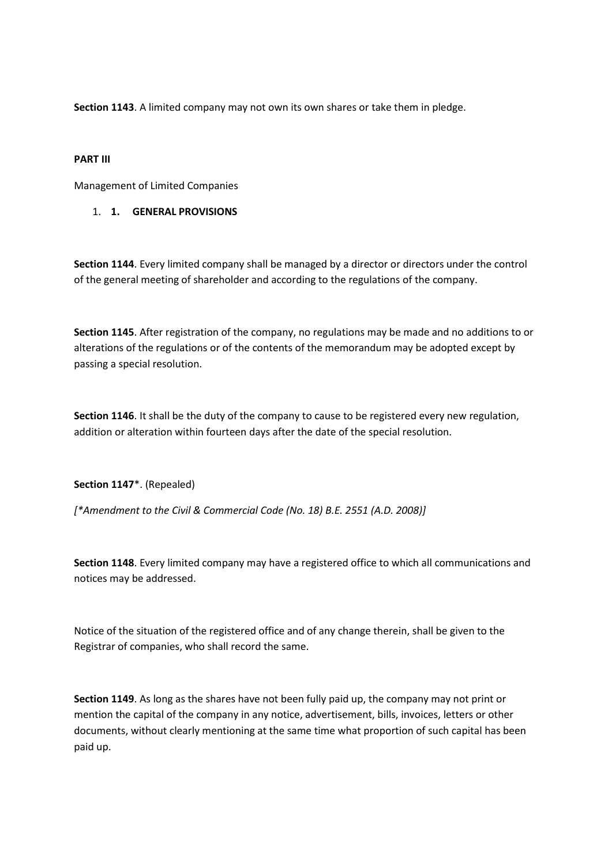**Section 1143**. A limited company may not own its own shares or take them in pledge.

## **PART III**

Management of Limited Companies

## 1. **1. GENERAL PROVISIONS**

**Section 1144**. Every limited company shall be managed by a director or directors under the control of the general meeting of shareholder and according to the regulations of the company.

**Section 1145**. After registration of the company, no regulations may be made and no additions to or alterations of the regulations or of the contents of the memorandum may be adopted except by passing a special resolution.

**Section 1146**. It shall be the duty of the company to cause to be registered every new regulation, addition or alteration within fourteen days after the date of the special resolution.

**Section 1147**\*. (Repealed)

*[\*Amendment to the Civil & Commercial Code (No. 18) B.E. 2551 (A.D. 2008)]*

**Section 1148**. Every limited company may have a registered office to which all communications and notices may be addressed.

Notice of the situation of the registered office and of any change therein, shall be given to the Registrar of companies, who shall record the same.

**Section 1149**. As long as the shares have not been fully paid up, the company may not print or mention the capital of the company in any notice, advertisement, bills, invoices, letters or other documents, without clearly mentioning at the same time what proportion of such capital has been paid up.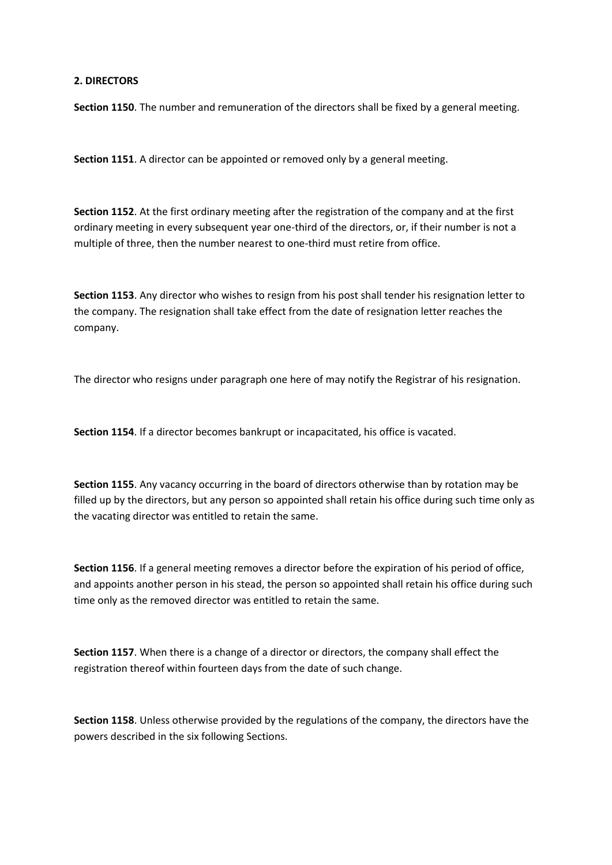### **2. DIRECTORS**

**Section 1150**. The number and remuneration of the directors shall be fixed by a general meeting.

**Section 1151**. A director can be appointed or removed only by a general meeting.

**Section 1152**. At the first ordinary meeting after the registration of the company and at the first ordinary meeting in every subsequent year one-third of the directors, or, if their number is not a multiple of three, then the number nearest to one-third must retire from office.

**Section 1153**. Any director who wishes to resign from his post shall tender his resignation letter to the company. The resignation shall take effect from the date of resignation letter reaches the company.

The director who resigns under paragraph one here of may notify the Registrar of his resignation.

**Section 1154**. If a director becomes bankrupt or incapacitated, his office is vacated.

**Section 1155**. Any vacancy occurring in the board of directors otherwise than by rotation may be filled up by the directors, but any person so appointed shall retain his office during such time only as the vacating director was entitled to retain the same.

**Section 1156**. If a general meeting removes a director before the expiration of his period of office, and appoints another person in his stead, the person so appointed shall retain his office during such time only as the removed director was entitled to retain the same.

**Section 1157**. When there is a change of a director or directors, the company shall effect the registration thereof within fourteen days from the date of such change.

**Section 1158**. Unless otherwise provided by the regulations of the company, the directors have the powers described in the six following Sections.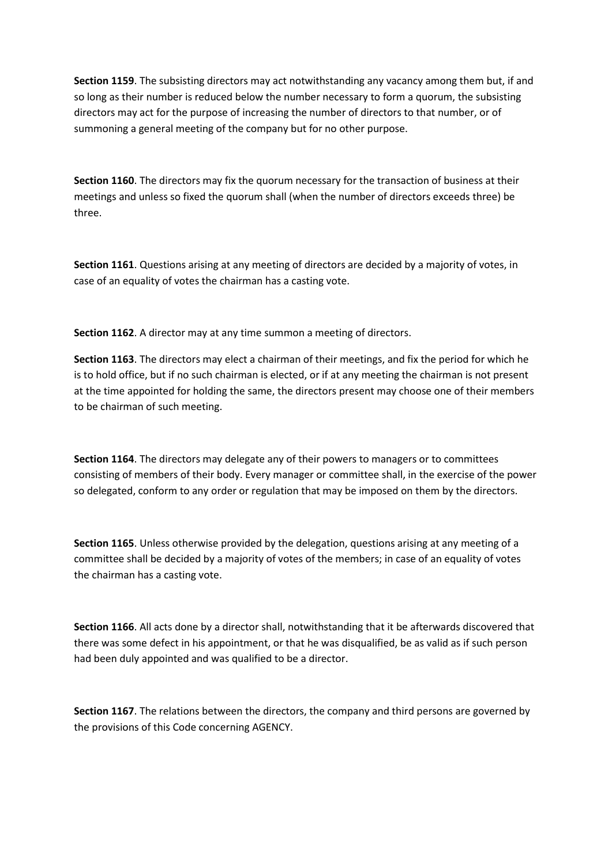**Section 1159**. The subsisting directors may act notwithstanding any vacancy among them but, if and so long as their number is reduced below the number necessary to form a quorum, the subsisting directors may act for the purpose of increasing the number of directors to that number, or of summoning a general meeting of the company but for no other purpose.

**Section 1160**. The directors may fix the quorum necessary for the transaction of business at their meetings and unless so fixed the quorum shall (when the number of directors exceeds three) be three.

**Section 1161**. Questions arising at any meeting of directors are decided by a majority of votes, in case of an equality of votes the chairman has a casting vote.

**Section 1162**. A director may at any time summon a meeting of directors.

**Section 1163**. The directors may elect a chairman of their meetings, and fix the period for which he is to hold office, but if no such chairman is elected, or if at any meeting the chairman is not present at the time appointed for holding the same, the directors present may choose one of their members to be chairman of such meeting.

**Section 1164**. The directors may delegate any of their powers to managers or to committees consisting of members of their body. Every manager or committee shall, in the exercise of the power so delegated, conform to any order or regulation that may be imposed on them by the directors.

**Section 1165**. Unless otherwise provided by the delegation, questions arising at any meeting of a committee shall be decided by a majority of votes of the members; in case of an equality of votes the chairman has a casting vote.

**Section 1166**. All acts done by a director shall, notwithstanding that it be afterwards discovered that there was some defect in his appointment, or that he was disqualified, be as valid as if such person had been duly appointed and was qualified to be a director.

**Section 1167**. The relations between the directors, the company and third persons are governed by the provisions of this Code concerning AGENCY.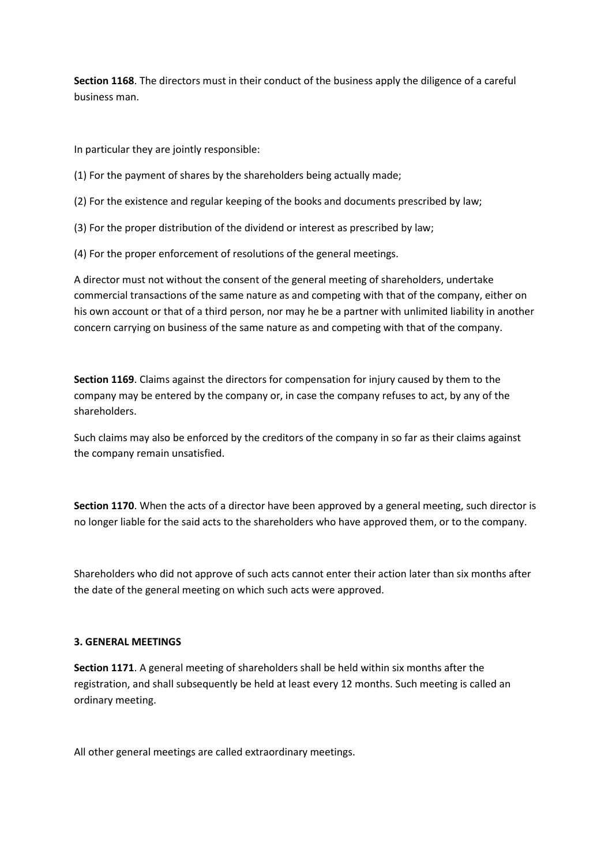**Section 1168**. The directors must in their conduct of the business apply the diligence of a careful business man.

In particular they are jointly responsible:

(1) For the payment of shares by the shareholders being actually made;

(2) For the existence and regular keeping of the books and documents prescribed by law;

(3) For the proper distribution of the dividend or interest as prescribed by law;

(4) For the proper enforcement of resolutions of the general meetings.

A director must not without the consent of the general meeting of shareholders, undertake commercial transactions of the same nature as and competing with that of the company, either on his own account or that of a third person, nor may he be a partner with unlimited liability in another concern carrying on business of the same nature as and competing with that of the company.

**Section 1169**. Claims against the directors for compensation for injury caused by them to the company may be entered by the company or, in case the company refuses to act, by any of the shareholders.

Such claims may also be enforced by the creditors of the company in so far as their claims against the company remain unsatisfied.

**Section 1170**. When the acts of a director have been approved by a general meeting, such director is no longer liable for the said acts to the shareholders who have approved them, or to the company.

Shareholders who did not approve of such acts cannot enter their action later than six months after the date of the general meeting on which such acts were approved.

# **3. GENERAL MEETINGS**

**Section 1171**. A general meeting of shareholders shall be held within six months after the registration, and shall subsequently be held at least every 12 months. Such meeting is called an ordinary meeting.

All other general meetings are called extraordinary meetings.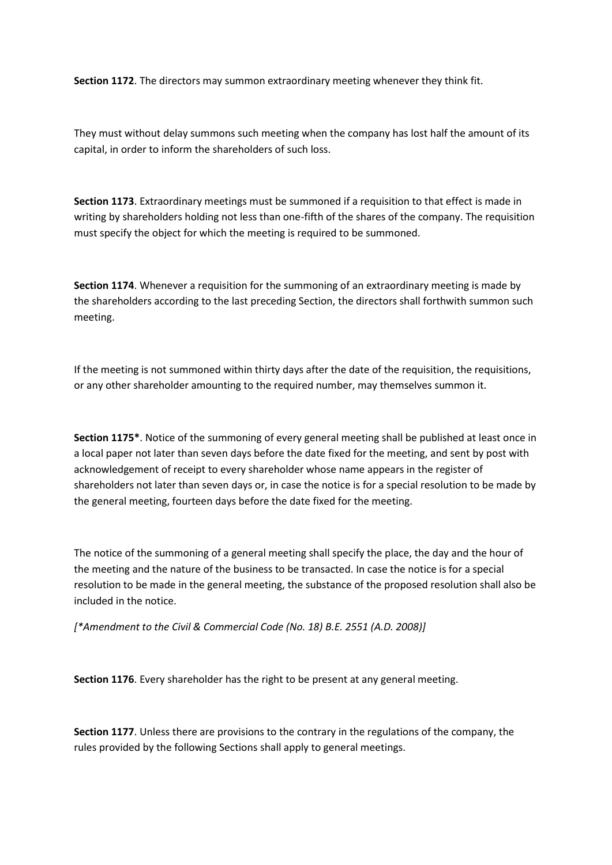**Section 1172**. The directors may summon extraordinary meeting whenever they think fit.

They must without delay summons such meeting when the company has lost half the amount of its capital, in order to inform the shareholders of such loss.

**Section 1173**. Extraordinary meetings must be summoned if a requisition to that effect is made in writing by shareholders holding not less than one-fifth of the shares of the company. The requisition must specify the object for which the meeting is required to be summoned.

**Section 1174**. Whenever a requisition for the summoning of an extraordinary meeting is made by the shareholders according to the last preceding Section, the directors shall forthwith summon such meeting.

If the meeting is not summoned within thirty days after the date of the requisition, the requisitions, or any other shareholder amounting to the required number, may themselves summon it.

**Section 1175\***. Notice of the summoning of every general meeting shall be published at least once in a local paper not later than seven days before the date fixed for the meeting, and sent by post with acknowledgement of receipt to every shareholder whose name appears in the register of shareholders not later than seven days or, in case the notice is for a special resolution to be made by the general meeting, fourteen days before the date fixed for the meeting.

The notice of the summoning of a general meeting shall specify the place, the day and the hour of the meeting and the nature of the business to be transacted. In case the notice is for a special resolution to be made in the general meeting, the substance of the proposed resolution shall also be included in the notice.

*[\*Amendment to the Civil & Commercial Code (No. 18) B.E. 2551 (A.D. 2008)]*

**Section 1176**. Every shareholder has the right to be present at any general meeting.

**Section 1177**. Unless there are provisions to the contrary in the regulations of the company, the rules provided by the following Sections shall apply to general meetings.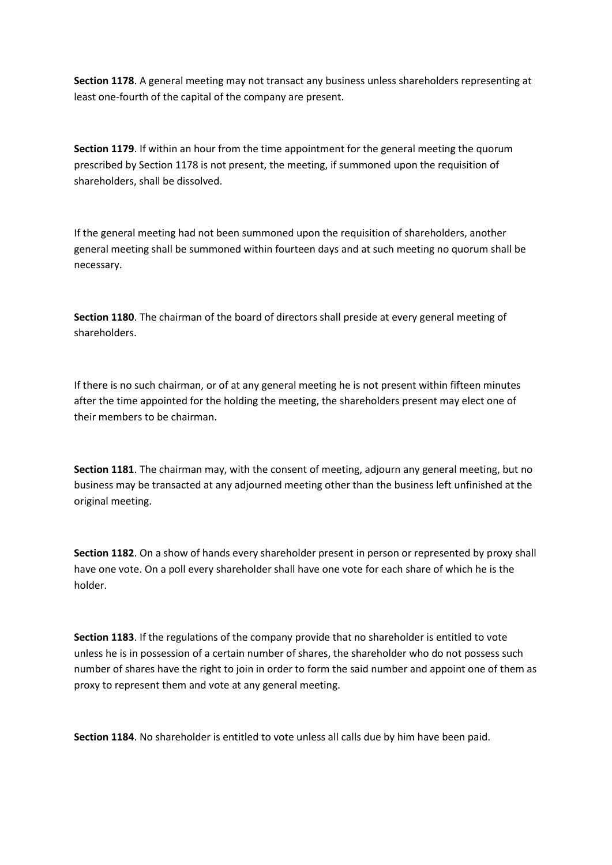**Section 1178**. A general meeting may not transact any business unless shareholders representing at least one-fourth of the capital of the company are present.

**Section 1179**. If within an hour from the time appointment for the general meeting the quorum prescribed by Section 1178 is not present, the meeting, if summoned upon the requisition of shareholders, shall be dissolved.

If the general meeting had not been summoned upon the requisition of shareholders, another general meeting shall be summoned within fourteen days and at such meeting no quorum shall be necessary.

**Section 1180**. The chairman of the board of directors shall preside at every general meeting of shareholders.

If there is no such chairman, or of at any general meeting he is not present within fifteen minutes after the time appointed for the holding the meeting, the shareholders present may elect one of their members to be chairman.

**Section 1181**. The chairman may, with the consent of meeting, adjourn any general meeting, but no business may be transacted at any adjourned meeting other than the business left unfinished at the original meeting.

**Section 1182**. On a show of hands every shareholder present in person or represented by proxy shall have one vote. On a poll every shareholder shall have one vote for each share of which he is the holder.

**Section 1183**. If the regulations of the company provide that no shareholder is entitled to vote unless he is in possession of a certain number of shares, the shareholder who do not possess such number of shares have the right to join in order to form the said number and appoint one of them as proxy to represent them and vote at any general meeting.

**Section 1184**. No shareholder is entitled to vote unless all calls due by him have been paid.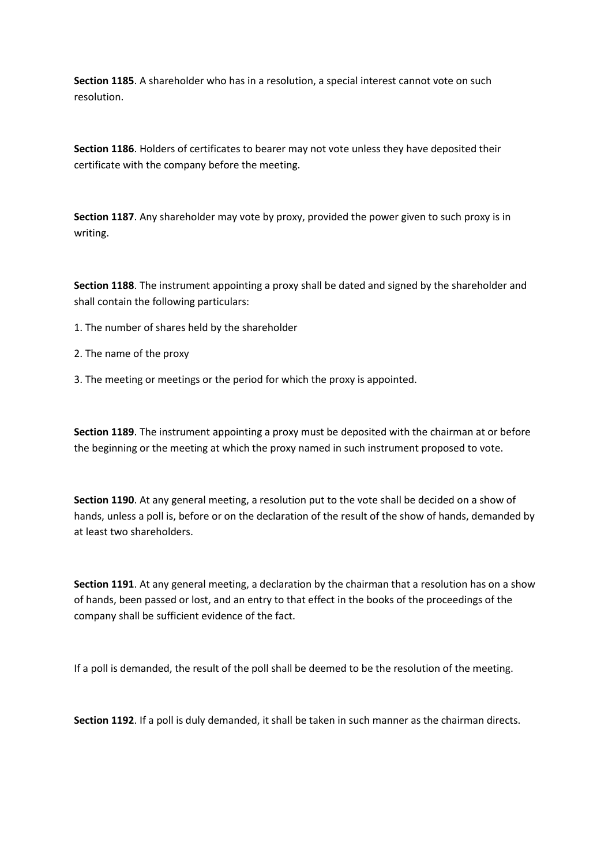**Section 1185**. A shareholder who has in a resolution, a special interest cannot vote on such resolution.

**Section 1186**. Holders of certificates to bearer may not vote unless they have deposited their certificate with the company before the meeting.

**Section 1187**. Any shareholder may vote by proxy, provided the power given to such proxy is in writing.

**Section 1188**. The instrument appointing a proxy shall be dated and signed by the shareholder and shall contain the following particulars:

- 1. The number of shares held by the shareholder
- 2. The name of the proxy
- 3. The meeting or meetings or the period for which the proxy is appointed.

**Section 1189**. The instrument appointing a proxy must be deposited with the chairman at or before the beginning or the meeting at which the proxy named in such instrument proposed to vote.

**Section 1190**. At any general meeting, a resolution put to the vote shall be decided on a show of hands, unless a poll is, before or on the declaration of the result of the show of hands, demanded by at least two shareholders.

**Section 1191**. At any general meeting, a declaration by the chairman that a resolution has on a show of hands, been passed or lost, and an entry to that effect in the books of the proceedings of the company shall be sufficient evidence of the fact.

If a poll is demanded, the result of the poll shall be deemed to be the resolution of the meeting.

**Section 1192**. If a poll is duly demanded, it shall be taken in such manner as the chairman directs.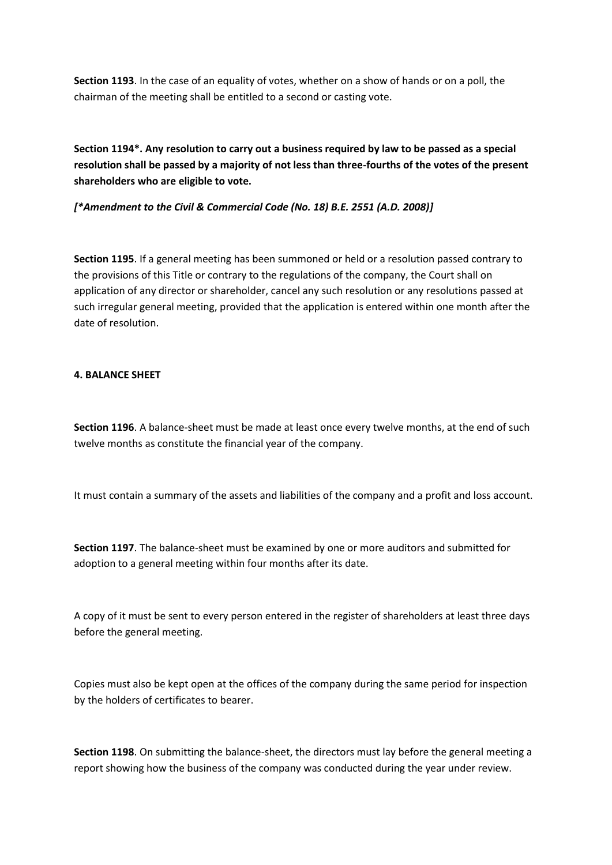**Section 1193**. In the case of an equality of votes, whether on a show of hands or on a poll, the chairman of the meeting shall be entitled to a second or casting vote.

**Section 1194\*. Any resolution to carry out a business required by law to be passed as a special resolution shall be passed by a majority of not less than three-fourths of the votes of the present shareholders who are eligible to vote.**

*[\*Amendment to the Civil & Commercial Code (No. 18) B.E. 2551 (A.D. 2008)]*

**Section 1195**. If a general meeting has been summoned or held or a resolution passed contrary to the provisions of this Title or contrary to the regulations of the company, the Court shall on application of any director or shareholder, cancel any such resolution or any resolutions passed at such irregular general meeting, provided that the application is entered within one month after the date of resolution.

# **4. BALANCE SHEET**

**Section 1196**. A balance-sheet must be made at least once every twelve months, at the end of such twelve months as constitute the financial year of the company.

It must contain a summary of the assets and liabilities of the company and a profit and loss account.

**Section 1197**. The balance-sheet must be examined by one or more auditors and submitted for adoption to a general meeting within four months after its date.

A copy of it must be sent to every person entered in the register of shareholders at least three days before the general meeting.

Copies must also be kept open at the offices of the company during the same period for inspection by the holders of certificates to bearer.

**Section 1198**. On submitting the balance-sheet, the directors must lay before the general meeting a report showing how the business of the company was conducted during the year under review.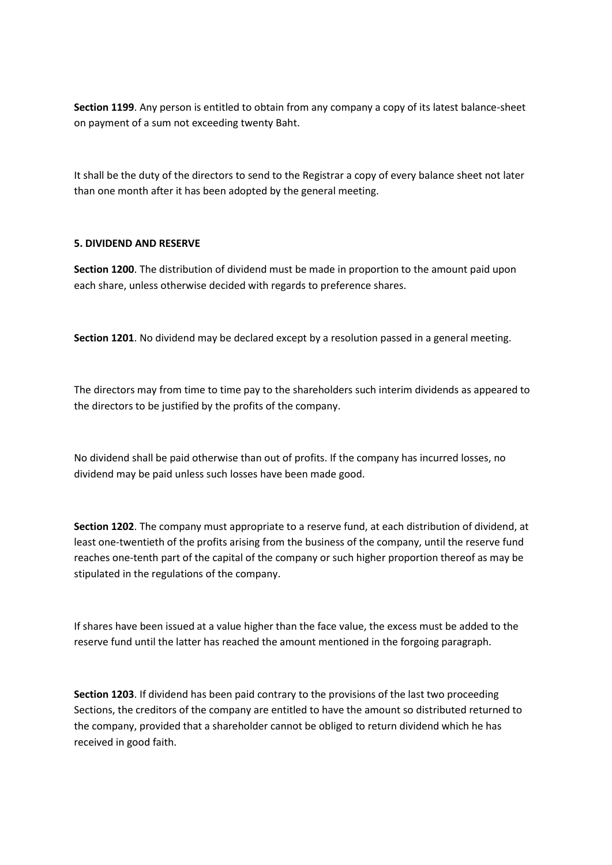**Section 1199**. Any person is entitled to obtain from any company a copy of its latest balance-sheet on payment of a sum not exceeding twenty Baht.

It shall be the duty of the directors to send to the Registrar a copy of every balance sheet not later than one month after it has been adopted by the general meeting.

# **5. DIVIDEND AND RESERVE**

**Section 1200**. The distribution of dividend must be made in proportion to the amount paid upon each share, unless otherwise decided with regards to preference shares.

**Section 1201**. No dividend may be declared except by a resolution passed in a general meeting.

The directors may from time to time pay to the shareholders such interim dividends as appeared to the directors to be justified by the profits of the company.

No dividend shall be paid otherwise than out of profits. If the company has incurred losses, no dividend may be paid unless such losses have been made good.

**Section 1202**. The company must appropriate to a reserve fund, at each distribution of dividend, at least one-twentieth of the profits arising from the business of the company, until the reserve fund reaches one-tenth part of the capital of the company or such higher proportion thereof as may be stipulated in the regulations of the company.

If shares have been issued at a value higher than the face value, the excess must be added to the reserve fund until the latter has reached the amount mentioned in the forgoing paragraph.

**Section 1203**. If dividend has been paid contrary to the provisions of the last two proceeding Sections, the creditors of the company are entitled to have the amount so distributed returned to the company, provided that a shareholder cannot be obliged to return dividend which he has received in good faith.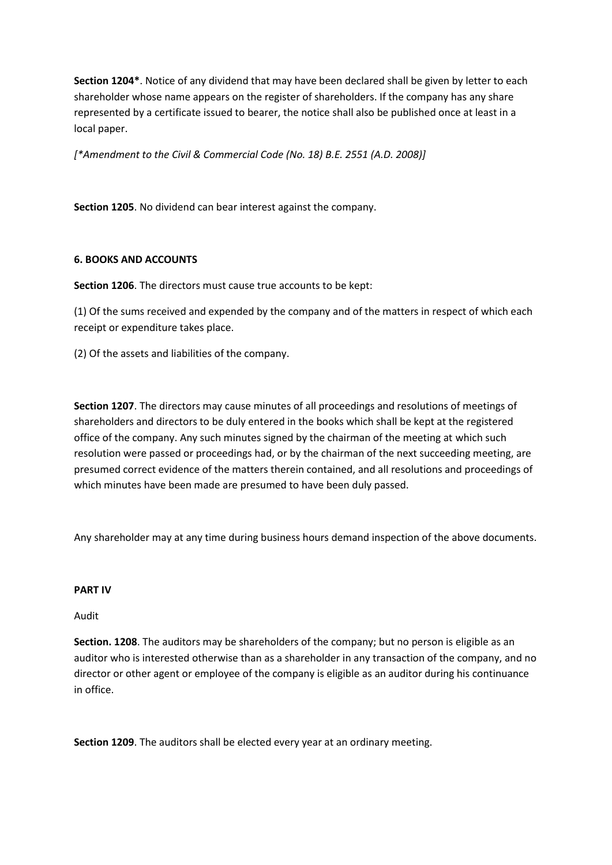**Section 1204\***. Notice of any dividend that may have been declared shall be given by letter to each shareholder whose name appears on the register of shareholders. If the company has any share represented by a certificate issued to bearer, the notice shall also be published once at least in a local paper.

*[\*Amendment to the Civil & Commercial Code (No. 18) B.E. 2551 (A.D. 2008)]*

**Section 1205**. No dividend can bear interest against the company.

# **6. BOOKS AND ACCOUNTS**

**Section 1206**. The directors must cause true accounts to be kept:

(1) Of the sums received and expended by the company and of the matters in respect of which each receipt or expenditure takes place.

(2) Of the assets and liabilities of the company.

**Section 1207**. The directors may cause minutes of all proceedings and resolutions of meetings of shareholders and directors to be duly entered in the books which shall be kept at the registered office of the company. Any such minutes signed by the chairman of the meeting at which such resolution were passed or proceedings had, or by the chairman of the next succeeding meeting, are presumed correct evidence of the matters therein contained, and all resolutions and proceedings of which minutes have been made are presumed to have been duly passed.

Any shareholder may at any time during business hours demand inspection of the above documents.

# **PART IV**

# Audit

**Section. 1208**. The auditors may be shareholders of the company; but no person is eligible as an auditor who is interested otherwise than as a shareholder in any transaction of the company, and no director or other agent or employee of the company is eligible as an auditor during his continuance in office.

**Section 1209**. The auditors shall be elected every year at an ordinary meeting.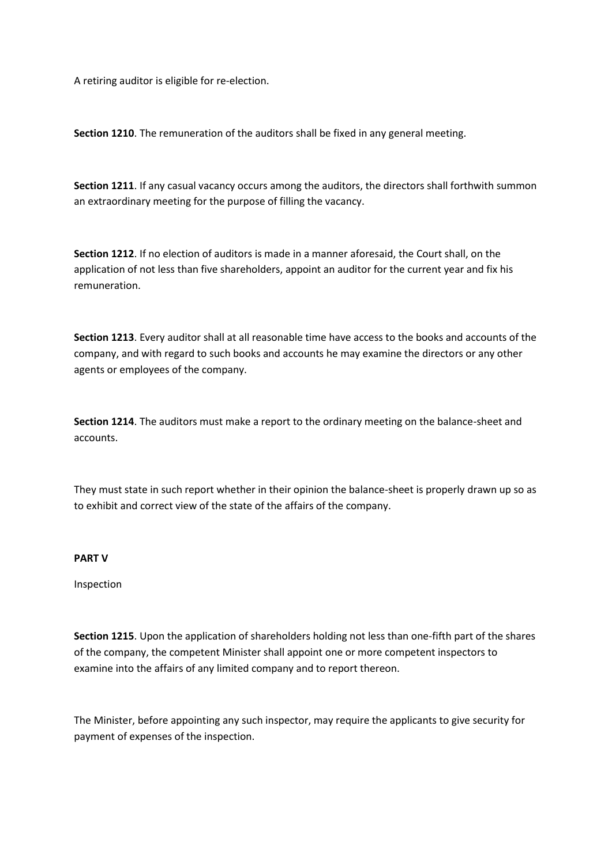A retiring auditor is eligible for re-election.

**Section 1210**. The remuneration of the auditors shall be fixed in any general meeting.

**Section 1211**. If any casual vacancy occurs among the auditors, the directors shall forthwith summon an extraordinary meeting for the purpose of filling the vacancy.

**Section 1212**. If no election of auditors is made in a manner aforesaid, the Court shall, on the application of not less than five shareholders, appoint an auditor for the current year and fix his remuneration.

**Section 1213**. Every auditor shall at all reasonable time have access to the books and accounts of the company, and with regard to such books and accounts he may examine the directors or any other agents or employees of the company.

**Section 1214**. The auditors must make a report to the ordinary meeting on the balance-sheet and accounts.

They must state in such report whether in their opinion the balance-sheet is properly drawn up so as to exhibit and correct view of the state of the affairs of the company.

# **PART V**

Inspection

**Section 1215**. Upon the application of shareholders holding not less than one-fifth part of the shares of the company, the competent Minister shall appoint one or more competent inspectors to examine into the affairs of any limited company and to report thereon.

The Minister, before appointing any such inspector, may require the applicants to give security for payment of expenses of the inspection.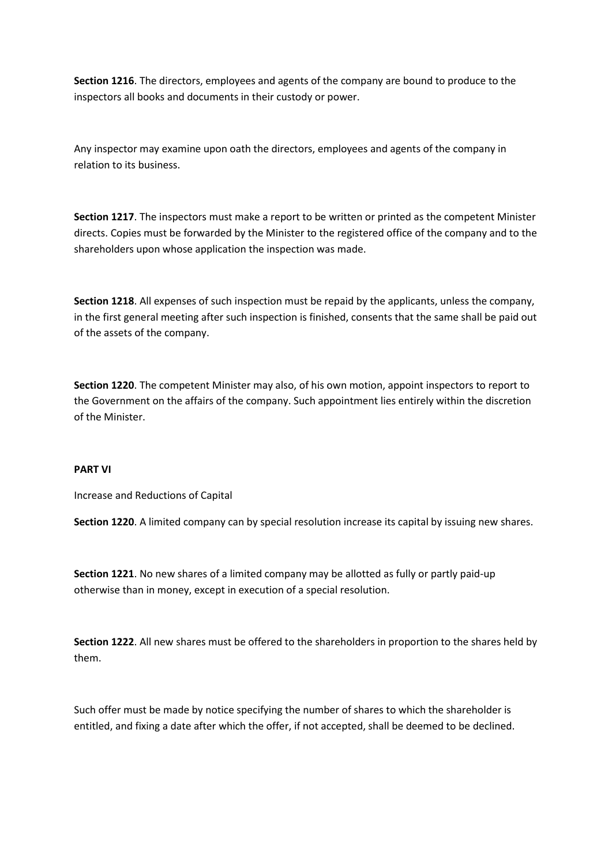**Section 1216**. The directors, employees and agents of the company are bound to produce to the inspectors all books and documents in their custody or power.

Any inspector may examine upon oath the directors, employees and agents of the company in relation to its business.

**Section 1217**. The inspectors must make a report to be written or printed as the competent Minister directs. Copies must be forwarded by the Minister to the registered office of the company and to the shareholders upon whose application the inspection was made.

**Section 1218**. All expenses of such inspection must be repaid by the applicants, unless the company, in the first general meeting after such inspection is finished, consents that the same shall be paid out of the assets of the company.

**Section 1220**. The competent Minister may also, of his own motion, appoint inspectors to report to the Government on the affairs of the company. Such appointment lies entirely within the discretion of the Minister.

#### **PART VI**

Increase and Reductions of Capital

**Section 1220**. A limited company can by special resolution increase its capital by issuing new shares.

**Section 1221**. No new shares of a limited company may be allotted as fully or partly paid-up otherwise than in money, except in execution of a special resolution.

**Section 1222**. All new shares must be offered to the shareholders in proportion to the shares held by them.

Such offer must be made by notice specifying the number of shares to which the shareholder is entitled, and fixing a date after which the offer, if not accepted, shall be deemed to be declined.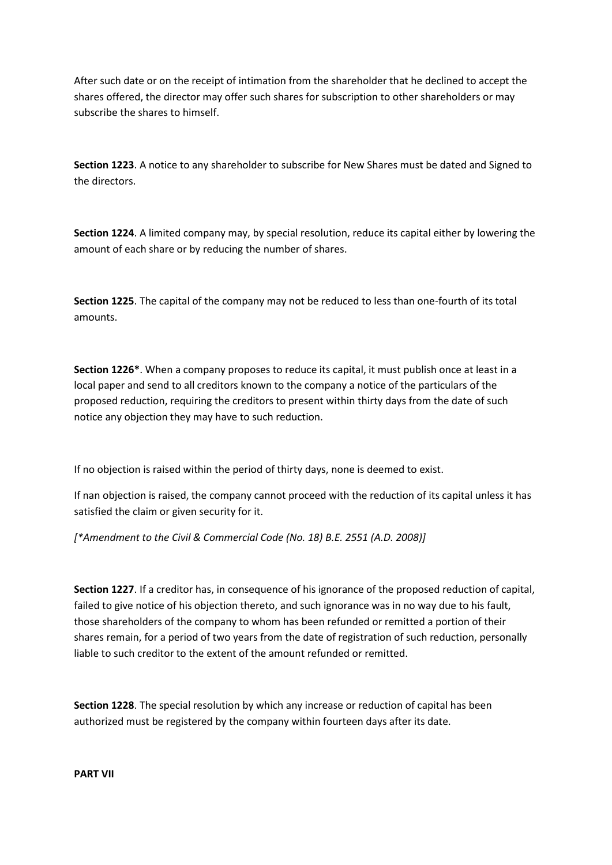After such date or on the receipt of intimation from the shareholder that he declined to accept the shares offered, the director may offer such shares for subscription to other shareholders or may subscribe the shares to himself.

**Section 1223**. A notice to any shareholder to subscribe for New Shares must be dated and Signed to the directors.

**Section 1224**. A limited company may, by special resolution, reduce its capital either by lowering the amount of each share or by reducing the number of shares.

**Section 1225**. The capital of the company may not be reduced to less than one-fourth of its total amounts.

**Section 1226\***. When a company proposes to reduce its capital, it must publish once at least in a local paper and send to all creditors known to the company a notice of the particulars of the proposed reduction, requiring the creditors to present within thirty days from the date of such notice any objection they may have to such reduction.

If no objection is raised within the period of thirty days, none is deemed to exist.

If nan objection is raised, the company cannot proceed with the reduction of its capital unless it has satisfied the claim or given security for it.

*[\*Amendment to the Civil & Commercial Code (No. 18) B.E. 2551 (A.D. 2008)]*

**Section 1227**. If a creditor has, in consequence of his ignorance of the proposed reduction of capital, failed to give notice of his objection thereto, and such ignorance was in no way due to his fault, those shareholders of the company to whom has been refunded or remitted a portion of their shares remain, for a period of two years from the date of registration of such reduction, personally liable to such creditor to the extent of the amount refunded or remitted.

**Section 1228**. The special resolution by which any increase or reduction of capital has been authorized must be registered by the company within fourteen days after its date.

**PART VII**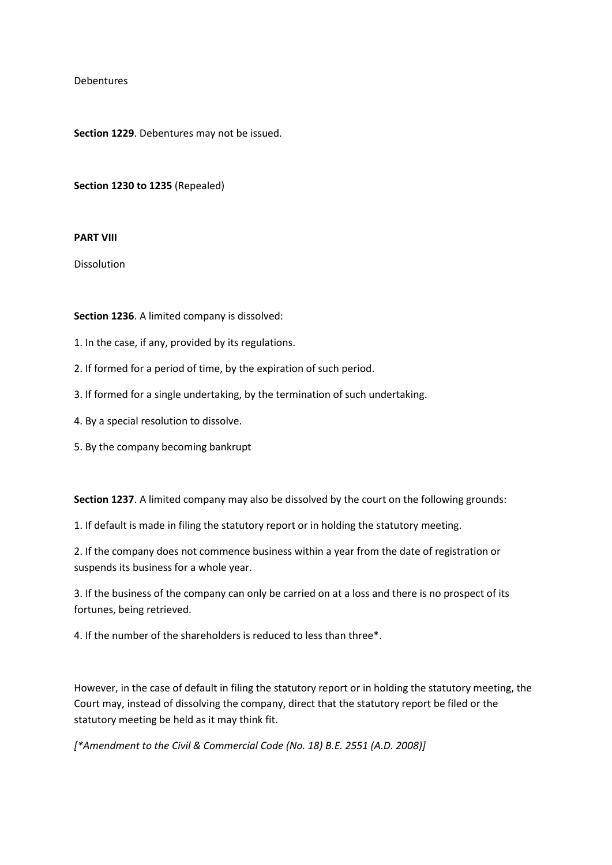#### Debentures

**Section 1229**. Debentures may not be issued.

**Section 1230 to 1235** (Repealed)

### **PART VIII**

Dissolution

**Section 1236**. A limited company is dissolved:

- 1. In the case, if any, provided by its regulations.
- 2. If formed for a period of time, by the expiration of such period.
- 3. If formed for a single undertaking, by the termination of such undertaking.
- 4. By a special resolution to dissolve.
- 5. By the company becoming bankrupt

**Section 1237**. A limited company may also be dissolved by the court on the following grounds:

1. If default is made in filing the statutory report or in holding the statutory meeting.

2. If the company does not commence business within a year from the date of registration or suspends its business for a whole year.

3. If the business of the company can only be carried on at a loss and there is no prospect of its fortunes, being retrieved.

4. If the number of the shareholders is reduced to less than three\*.

However, in the case of default in filing the statutory report or in holding the statutory meeting, the Court may, instead of dissolving the company, direct that the statutory report be filed or the statutory meeting be held as it may think fit.

*[\*Amendment to the Civil & Commercial Code (No. 18) B.E. 2551 (A.D. 2008)]*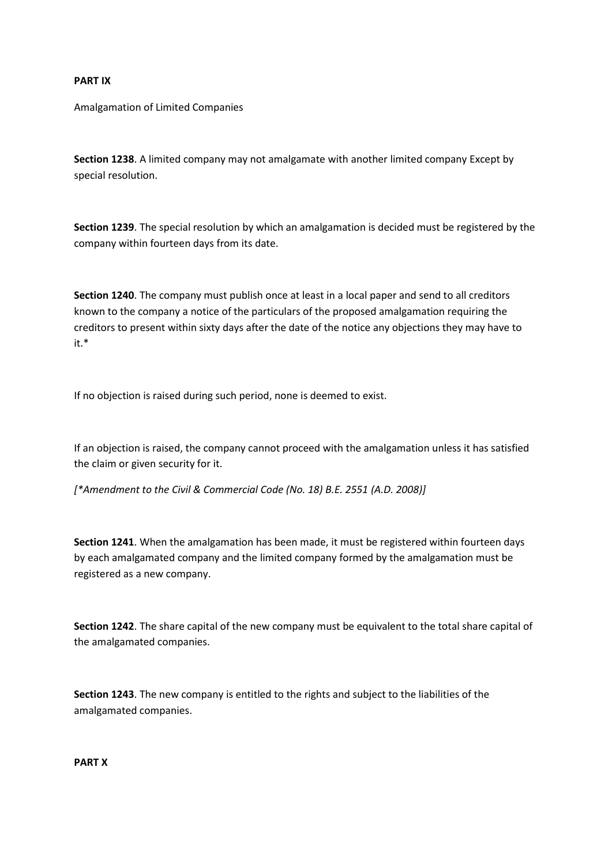## **PART IX**

Amalgamation of Limited Companies

**Section 1238**. A limited company may not amalgamate with another limited company Except by special resolution.

**Section 1239**. The special resolution by which an amalgamation is decided must be registered by the company within fourteen days from its date.

**Section 1240**. The company must publish once at least in a local paper and send to all creditors known to the company a notice of the particulars of the proposed amalgamation requiring the creditors to present within sixty days after the date of the notice any objections they may have to it.\*

If no objection is raised during such period, none is deemed to exist.

If an objection is raised, the company cannot proceed with the amalgamation unless it has satisfied the claim or given security for it.

*[\*Amendment to the Civil & Commercial Code (No. 18) B.E. 2551 (A.D. 2008)]*

**Section 1241**. When the amalgamation has been made, it must be registered within fourteen days by each amalgamated company and the limited company formed by the amalgamation must be registered as a new company.

**Section 1242**. The share capital of the new company must be equivalent to the total share capital of the amalgamated companies.

**Section 1243**. The new company is entitled to the rights and subject to the liabilities of the amalgamated companies.

**PART X**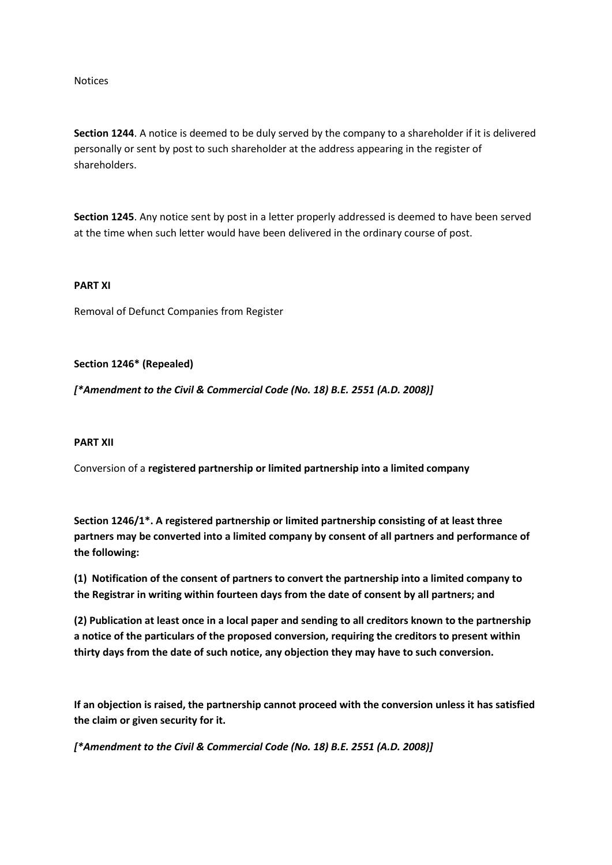Notices

**Section 1244**. A notice is deemed to be duly served by the company to a shareholder if it is delivered personally or sent by post to such shareholder at the address appearing in the register of shareholders.

**Section 1245**. Any notice sent by post in a letter properly addressed is deemed to have been served at the time when such letter would have been delivered in the ordinary course of post.

## **PART XI**

Removal of Defunct Companies from Register

# **Section 1246\* (Repealed)**

*[\*Amendment to the Civil & Commercial Code (No. 18) B.E. 2551 (A.D. 2008)]*

#### **PART XII**

Conversion of a **registered partnership or limited partnership into a limited company**

**Section 1246/1\*. A registered partnership or limited partnership consisting of at least three partners may be converted into a limited company by consent of all partners and performance of the following:**

**(1) Notification of the consent of partners to convert the partnership into a limited company to the Registrar in writing within fourteen days from the date of consent by all partners; and**

**(2) Publication at least once in a local paper and sending to all creditors known to the partnership a notice of the particulars of the proposed conversion, requiring the creditors to present within thirty days from the date of such notice, any objection they may have to such conversion.**

**If an objection is raised, the partnership cannot proceed with the conversion unless it has satisfied the claim or given security for it.**

*[\*Amendment to the Civil & Commercial Code (No. 18) B.E. 2551 (A.D. 2008)]*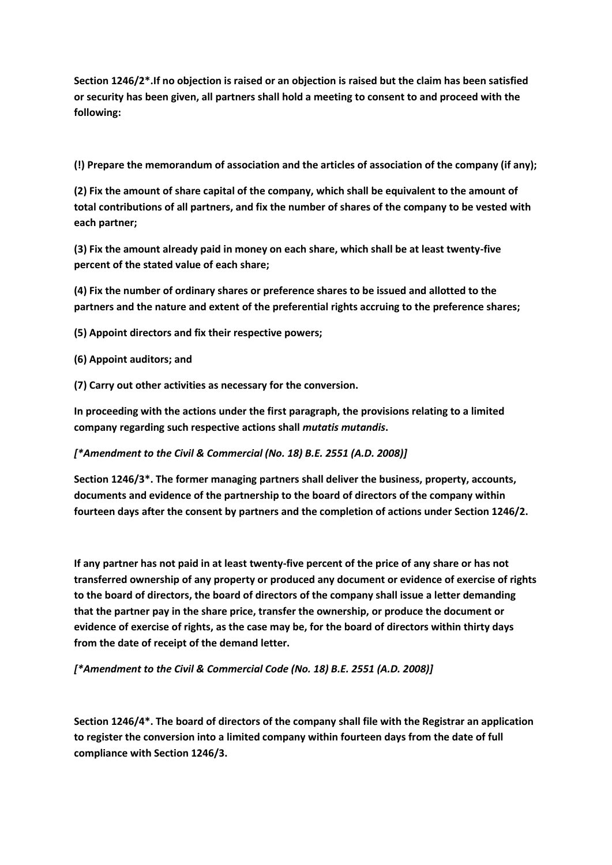**Section 1246/2\*.If no objection is raised or an objection is raised but the claim has been satisfied or security has been given, all partners shall hold a meeting to consent to and proceed with the following:**

**(!) Prepare the memorandum of association and the articles of association of the company (if any);**

**(2) Fix the amount of share capital of the company, which shall be equivalent to the amount of total contributions of all partners, and fix the number of shares of the company to be vested with each partner;**

**(3) Fix the amount already paid in money on each share, which shall be at least twenty-five percent of the stated value of each share;**

**(4) Fix the number of ordinary shares or preference shares to be issued and allotted to the partners and the nature and extent of the preferential rights accruing to the preference shares;**

**(5) Appoint directors and fix their respective powers;**

**(6) Appoint auditors; and**

**(7) Carry out other activities as necessary for the conversion.**

**In proceeding with the actions under the first paragraph, the provisions relating to a limited company regarding such respective actions shall** *mutatis mutandis***.**

*[\*Amendment to the Civil & Commercial (No. 18) B.E. 2551 (A.D. 2008)]*

**Section 1246/3\*. The former managing partners shall deliver the business, property, accounts, documents and evidence of the partnership to the board of directors of the company within fourteen days after the consent by partners and the completion of actions under Section 1246/2.**

**If any partner has not paid in at least twenty-five percent of the price of any share or has not transferred ownership of any property or produced any document or evidence of exercise of rights to the board of directors, the board of directors of the company shall issue a letter demanding that the partner pay in the share price, transfer the ownership, or produce the document or evidence of exercise of rights, as the case may be, for the board of directors within thirty days from the date of receipt of the demand letter.**

*[\*Amendment to the Civil & Commercial Code (No. 18) B.E. 2551 (A.D. 2008)]*

**Section 1246/4\*. The board of directors of the company shall file with the Registrar an application to register the conversion into a limited company within fourteen days from the date of full compliance with Section 1246/3.**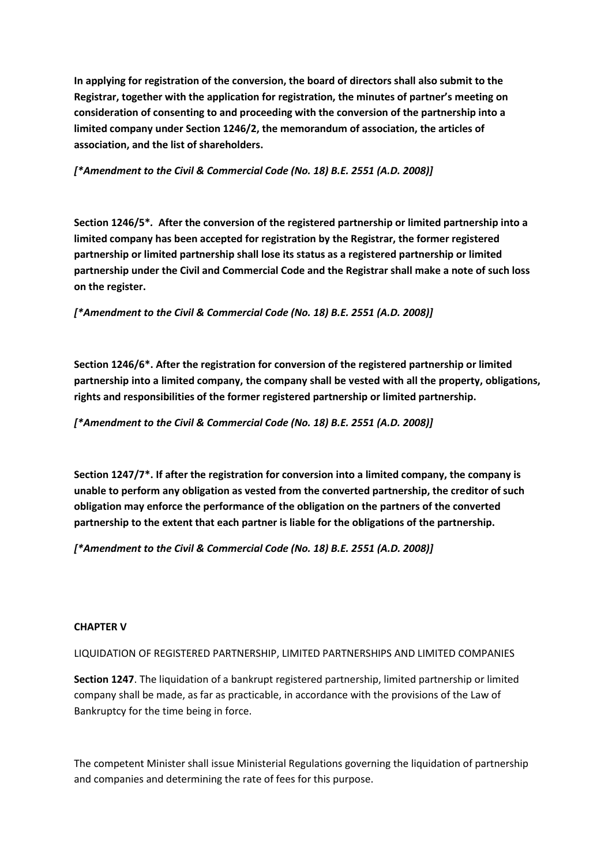**In applying for registration of the conversion, the board of directors shall also submit to the Registrar, together with the application for registration, the minutes of partner's meeting on consideration of consenting to and proceeding with the conversion of the partnership into a limited company under Section 1246/2, the memorandum of association, the articles of association, and the list of shareholders.**

*[\*Amendment to the Civil & Commercial Code (No. 18) B.E. 2551 (A.D. 2008)]*

**Section 1246/5\****.* **After the conversion of the registered partnership or limited partnership into a limited company has been accepted for registration by the Registrar, the former registered partnership or limited partnership shall lose its status as a registered partnership or limited partnership under the Civil and Commercial Code and the Registrar shall make a note of such loss on the register.**

*[\*Amendment to the Civil & Commercial Code (No. 18) B.E. 2551 (A.D. 2008)]*

**Section 1246/6\*. After the registration for conversion of the registered partnership or limited partnership into a limited company, the company shall be vested with all the property, obligations, rights and responsibilities of the former registered partnership or limited partnership.**

*[\*Amendment to the Civil & Commercial Code (No. 18) B.E. 2551 (A.D. 2008)]*

**Section 1247/7\*. If after the registration for conversion into a limited company, the company is unable to perform any obligation as vested from the converted partnership, the creditor of such obligation may enforce the performance of the obligation on the partners of the converted partnership to the extent that each partner is liable for the obligations of the partnership.**

*[\*Amendment to the Civil & Commercial Code (No. 18) B.E. 2551 (A.D. 2008)]*

# **CHAPTER V**

LIQUIDATION OF REGISTERED PARTNERSHIP, LIMITED PARTNERSHIPS AND LIMITED COMPANIES

**Section 1247**. The liquidation of a bankrupt registered partnership, limited partnership or limited company shall be made, as far as practicable, in accordance with the provisions of the Law of Bankruptcy for the time being in force.

The competent Minister shall issue Ministerial Regulations governing the liquidation of partnership and companies and determining the rate of fees for this purpose.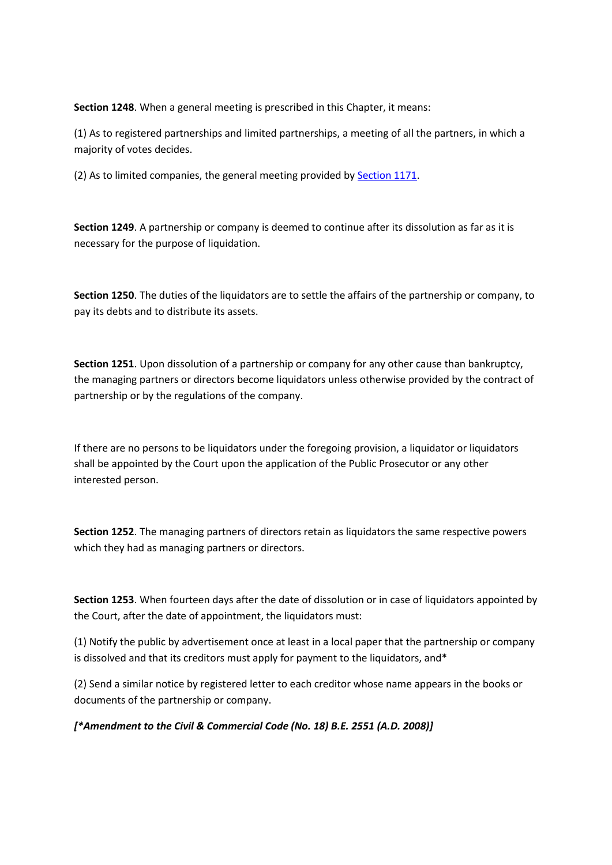**Section 1248**. When a general meeting is prescribed in this Chapter, it means:

(1) As to registered partnerships and limited partnerships, a meeting of all the partners, in which a majority of votes decides.

(2) As to limited companies, the general meeting provided by [Section 1171.](http://www.samuiforsale.com/law-texts/thailand-civil-code-part-2.html#1171)

**Section 1249**. A partnership or company is deemed to continue after its dissolution as far as it is necessary for the purpose of liquidation.

**Section 1250**. The duties of the liquidators are to settle the affairs of the partnership or company, to pay its debts and to distribute its assets.

**Section 1251**. Upon dissolution of a partnership or company for any other cause than bankruptcy, the managing partners or directors become liquidators unless otherwise provided by the contract of partnership or by the regulations of the company.

If there are no persons to be liquidators under the foregoing provision, a liquidator or liquidators shall be appointed by the Court upon the application of the Public Prosecutor or any other interested person.

**Section 1252**. The managing partners of directors retain as liquidators the same respective powers which they had as managing partners or directors.

**Section 1253**. When fourteen days after the date of dissolution or in case of liquidators appointed by the Court, after the date of appointment, the liquidators must:

(1) Notify the public by advertisement once at least in a local paper that the partnership or company is dissolved and that its creditors must apply for payment to the liquidators, and\*

(2) Send a similar notice by registered letter to each creditor whose name appears in the books or documents of the partnership or company.

*[\*Amendment to the Civil & Commercial Code (No. 18) B.E. 2551 (A.D. 2008)]*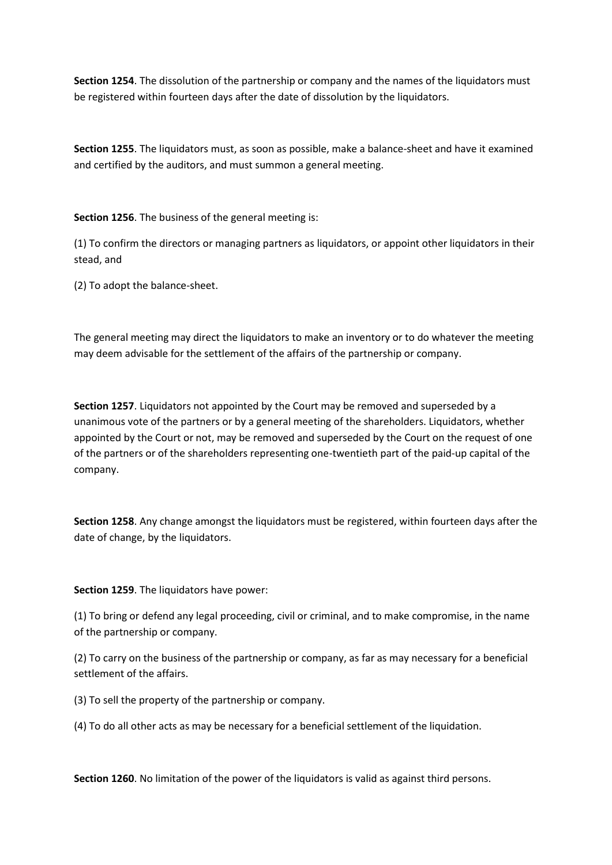**Section 1254**. The dissolution of the partnership or company and the names of the liquidators must be registered within fourteen days after the date of dissolution by the liquidators.

**Section 1255**. The liquidators must, as soon as possible, make a balance-sheet and have it examined and certified by the auditors, and must summon a general meeting.

**Section 1256**. The business of the general meeting is:

(1) To confirm the directors or managing partners as liquidators, or appoint other liquidators in their stead, and

(2) To adopt the balance-sheet.

The general meeting may direct the liquidators to make an inventory or to do whatever the meeting may deem advisable for the settlement of the affairs of the partnership or company.

**Section 1257**. Liquidators not appointed by the Court may be removed and superseded by a unanimous vote of the partners or by a general meeting of the shareholders. Liquidators, whether appointed by the Court or not, may be removed and superseded by the Court on the request of one of the partners or of the shareholders representing one-twentieth part of the paid-up capital of the company.

**Section 1258**. Any change amongst the liquidators must be registered, within fourteen days after the date of change, by the liquidators.

**Section 1259**. The liquidators have power:

(1) To bring or defend any legal proceeding, civil or criminal, and to make compromise, in the name of the partnership or company.

(2) To carry on the business of the partnership or company, as far as may necessary for a beneficial settlement of the affairs.

(3) To sell the property of the partnership or company.

(4) To do all other acts as may be necessary for a beneficial settlement of the liquidation.

**Section 1260**. No limitation of the power of the liquidators is valid as against third persons.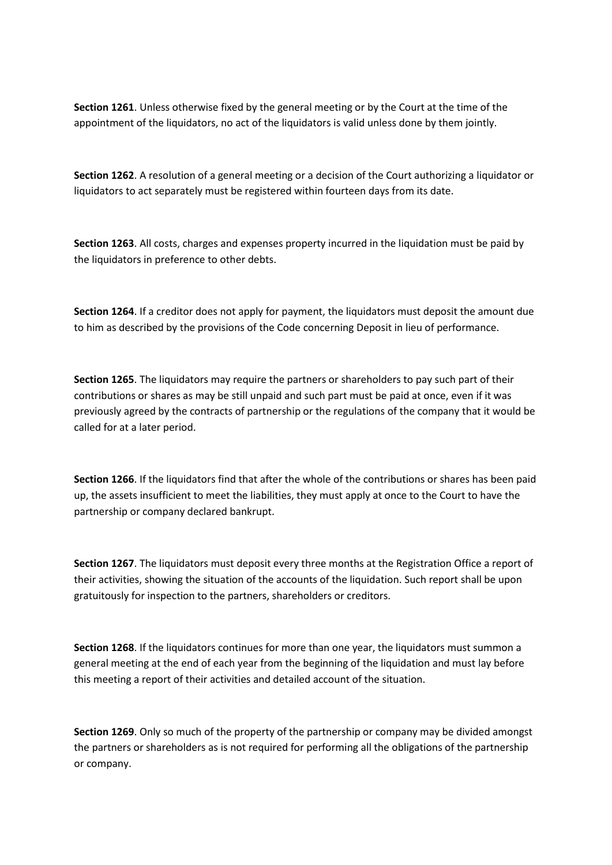**Section 1261**. Unless otherwise fixed by the general meeting or by the Court at the time of the appointment of the liquidators, no act of the liquidators is valid unless done by them jointly.

**Section 1262**. A resolution of a general meeting or a decision of the Court authorizing a liquidator or liquidators to act separately must be registered within fourteen days from its date.

**Section 1263**. All costs, charges and expenses property incurred in the liquidation must be paid by the liquidators in preference to other debts.

**Section 1264**. If a creditor does not apply for payment, the liquidators must deposit the amount due to him as described by the provisions of the Code concerning Deposit in lieu of performance.

**Section 1265**. The liquidators may require the partners or shareholders to pay such part of their contributions or shares as may be still unpaid and such part must be paid at once, even if it was previously agreed by the contracts of partnership or the regulations of the company that it would be called for at a later period.

**Section 1266**. If the liquidators find that after the whole of the contributions or shares has been paid up, the assets insufficient to meet the liabilities, they must apply at once to the Court to have the partnership or company declared bankrupt.

**Section 1267**. The liquidators must deposit every three months at the Registration Office a report of their activities, showing the situation of the accounts of the liquidation. Such report shall be upon gratuitously for inspection to the partners, shareholders or creditors.

**Section 1268**. If the liquidators continues for more than one year, the liquidators must summon a general meeting at the end of each year from the beginning of the liquidation and must lay before this meeting a report of their activities and detailed account of the situation.

**Section 1269**. Only so much of the property of the partnership or company may be divided amongst the partners or shareholders as is not required for performing all the obligations of the partnership or company.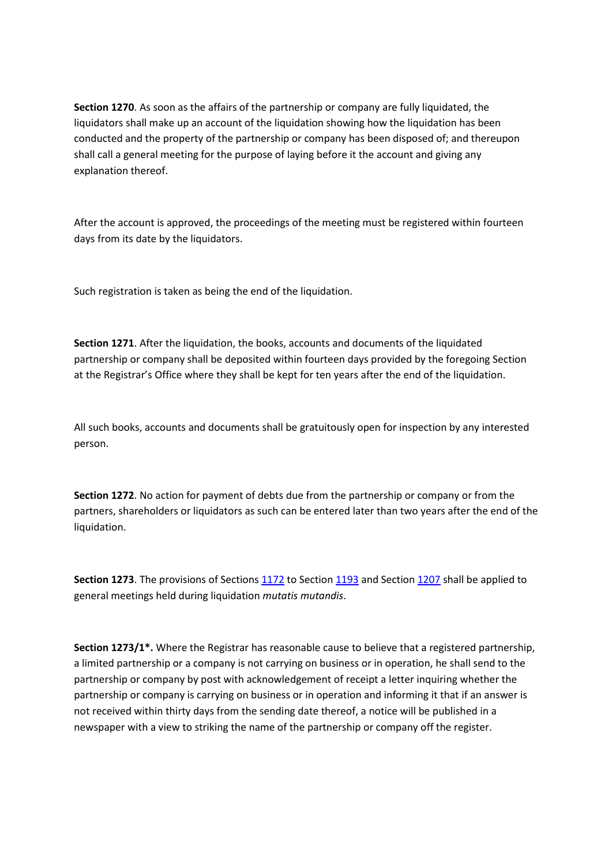**Section 1270**. As soon as the affairs of the partnership or company are fully liquidated, the liquidators shall make up an account of the liquidation showing how the liquidation has been conducted and the property of the partnership or company has been disposed of; and thereupon shall call a general meeting for the purpose of laying before it the account and giving any explanation thereof.

After the account is approved, the proceedings of the meeting must be registered within fourteen days from its date by the liquidators.

Such registration is taken as being the end of the liquidation.

**Section 1271**. After the liquidation, the books, accounts and documents of the liquidated partnership or company shall be deposited within fourteen days provided by the foregoing Section at the Registrar's Office where they shall be kept for ten years after the end of the liquidation.

All such books, accounts and documents shall be gratuitously open for inspection by any interested person.

**Section 1272**. No action for payment of debts due from the partnership or company or from the partners, shareholders or liquidators as such can be entered later than two years after the end of the liquidation.

**Section 1273**. The provisions of Sections [1172](http://www.samuiforsale.com/law-texts/thailand-civil-code-part-2.html#1171) to Section [1193](http://www.samuiforsale.com/law-texts/thailand-civil-code-part-2.html#1193) and Section [1207](http://www.samuiforsale.com/law-texts/thailand-civil-code-part-2.html#1207) shall be applied to general meetings held during liquidation *mutatis mutandis*.

**Section 1273/1\*.** Where the Registrar has reasonable cause to believe that a registered partnership, a limited partnership or a company is not carrying on business or in operation, he shall send to the partnership or company by post with acknowledgement of receipt a letter inquiring whether the partnership or company is carrying on business or in operation and informing it that if an answer is not received within thirty days from the sending date thereof, a notice will be published in a newspaper with a view to striking the name of the partnership or company off the register.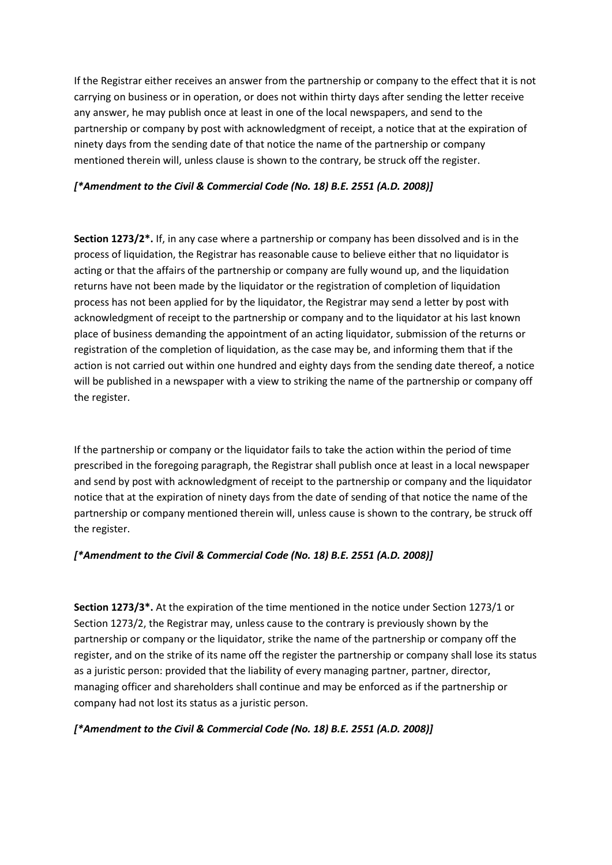If the Registrar either receives an answer from the partnership or company to the effect that it is not carrying on business or in operation, or does not within thirty days after sending the letter receive any answer, he may publish once at least in one of the local newspapers, and send to the partnership or company by post with acknowledgment of receipt, a notice that at the expiration of ninety days from the sending date of that notice the name of the partnership or company mentioned therein will, unless clause is shown to the contrary, be struck off the register.

# *[\*Amendment to the Civil & Commercial Code (No. 18) B.E. 2551 (A.D. 2008)]*

**Section 1273/2\*.** If, in any case where a partnership or company has been dissolved and is in the process of liquidation, the Registrar has reasonable cause to believe either that no liquidator is acting or that the affairs of the partnership or company are fully wound up, and the liquidation returns have not been made by the liquidator or the registration of completion of liquidation process has not been applied for by the liquidator, the Registrar may send a letter by post with acknowledgment of receipt to the partnership or company and to the liquidator at his last known place of business demanding the appointment of an acting liquidator, submission of the returns or registration of the completion of liquidation, as the case may be, and informing them that if the action is not carried out within one hundred and eighty days from the sending date thereof, a notice will be published in a newspaper with a view to striking the name of the partnership or company off the register.

If the partnership or company or the liquidator fails to take the action within the period of time prescribed in the foregoing paragraph, the Registrar shall publish once at least in a local newspaper and send by post with acknowledgment of receipt to the partnership or company and the liquidator notice that at the expiration of ninety days from the date of sending of that notice the name of the partnership or company mentioned therein will, unless cause is shown to the contrary, be struck off the register.

# *[\*Amendment to the Civil & Commercial Code (No. 18) B.E. 2551 (A.D. 2008)]*

**Section 1273/3\*.** At the expiration of the time mentioned in the notice under Section 1273/1 or Section 1273/2, the Registrar may, unless cause to the contrary is previously shown by the partnership or company or the liquidator, strike the name of the partnership or company off the register, and on the strike of its name off the register the partnership or company shall lose its status as a juristic person: provided that the liability of every managing partner, partner, director, managing officer and shareholders shall continue and may be enforced as if the partnership or company had not lost its status as a juristic person.

# *[\*Amendment to the Civil & Commercial Code (No. 18) B.E. 2551 (A.D. 2008)]*